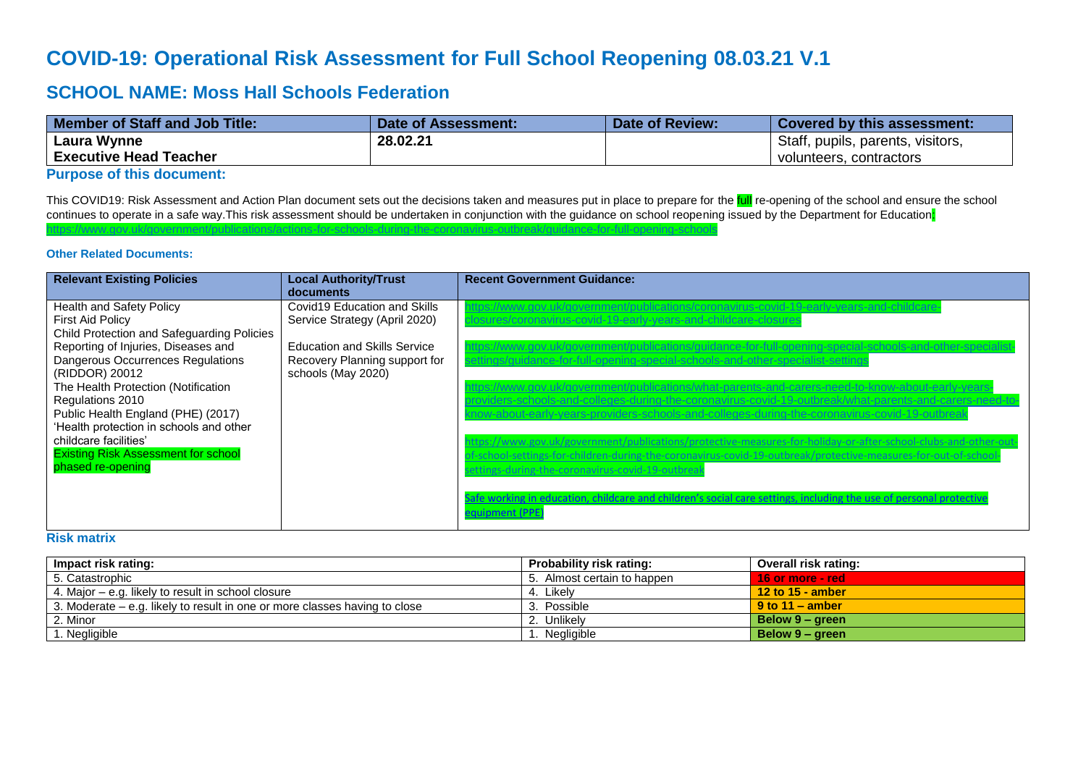# **COVID-19: Operational Risk Assessment for Full School Reopening 08.03.21 V.1**

## **SCHOOL NAME: Moss Hall Schools Federation**

| <b>Member of Staff and Job Title:</b> | Date of Assessment: | Date of Review: | <b>Covered by this assessment:</b> |
|---------------------------------------|---------------------|-----------------|------------------------------------|
| <b>Laura Wynne</b>                    | 28.02.21            |                 | Staff, pupils, parents, visitors,  |
| <b>Executive Head Teacher</b>         |                     |                 | volunteers, contractors            |

**Purpose of this document:**

This COVID19: Risk Assessment and Action Plan document sets out the decisions taken and measures put in place to prepare for the full re-opening of the school and ensure the school continues to operate in a safe way. This risk assessment should be undertaken in conjunction with the guidance on school reopening issued by the Department for Education: <https://www.gov.uk/government/publications/actions-for-schools-during-the-coronavirus-outbreak/guidance-for-full-opening-schools>

### **Other Related Documents:**

| <b>Relevant Existing Policies</b>                                                                                                                                                                                                                                                                                                                                                                                                       | <b>Local Authority/Trust</b>                                                                                                                                                    | <b>Recent Government Guidance:</b>                                                                       |
|-----------------------------------------------------------------------------------------------------------------------------------------------------------------------------------------------------------------------------------------------------------------------------------------------------------------------------------------------------------------------------------------------------------------------------------------|---------------------------------------------------------------------------------------------------------------------------------------------------------------------------------|----------------------------------------------------------------------------------------------------------|
| <b>Health and Safety Policy</b><br>First Aid Policy<br>Child Protection and Safeguarding Policies<br>Reporting of Injuries, Diseases and<br>Dangerous Occurrences Regulations<br>(RIDDOR) 20012<br>The Health Protection (Notification<br>Regulations 2010<br>Public Health England (PHE) (2017)<br>'Health protection in schools and other<br>childcare facilities'<br><b>Existing Risk Assessment for school</b><br>phased re-opening | <b>documents</b><br>Covid19 Education and Skills<br>Service Strategy (April 2020)<br><b>Education and Skills Service</b><br>Recovery Planning support for<br>schools (May 2020) | orking in education, childcare and children's social care settings, including the use of personal protec |

### **Risk matrix**

| Impact risk rating:                                                        | Probability risk rating:    | Overall risk rating: |
|----------------------------------------------------------------------------|-----------------------------|----------------------|
| 5. Catastrophic                                                            | 5. Almost certain to happen | 16 or more - red     |
| 4. Major – e.g. likely to result in school closure                         | 4. Likelv                   | 12 to $15$ - amber   |
| 3. Moderate – e.g. likely to result in one or more classes having to close | 3. Possible                 | $9$ to 11 – amber    |
| 2. Minor                                                                   | 2. Unlikely                 | Below 9 – green      |
| 1. Negligible                                                              | 1. Negligible               | Below 9 – green      |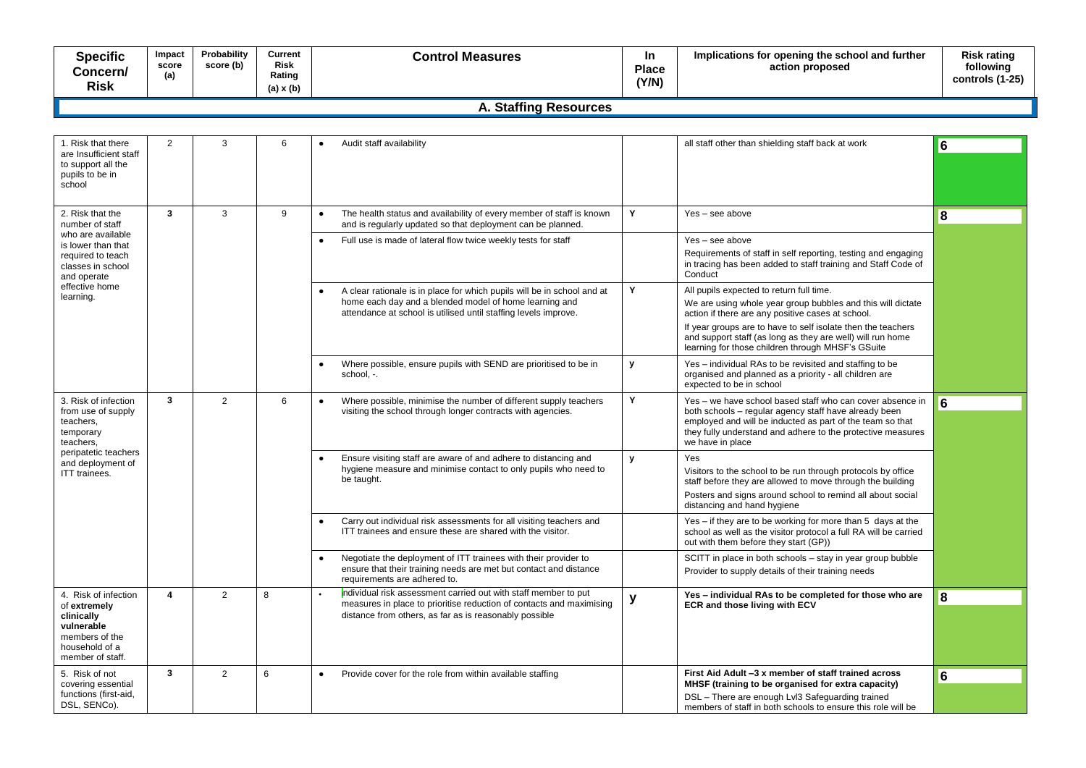| <b>Specific</b><br>Concern/<br><b>Risk</b> | Impact<br>score<br>(a) | Probability<br>score (b) | Current<br>Risk<br>Rating<br>$(a) \times (b)$ | <b>Control Measures</b> | In<br><b>Place</b><br>'Y/N) | Implications for opening the school and further<br>action proposed | <b>Risk rating</b><br>following<br>controls (1-25) |  |  |
|--------------------------------------------|------------------------|--------------------------|-----------------------------------------------|-------------------------|-----------------------------|--------------------------------------------------------------------|----------------------------------------------------|--|--|
| <b>A. Staffing Resources</b>               |                        |                          |                                               |                         |                             |                                                                    |                                                    |  |  |

| 1. Risk that there<br>are Insufficient staff<br>to support all the<br>pupils to be in<br>school                                                        | $\overline{2}$          | 3 | 6 | $\bullet$ | Audit staff availability                                                                                                                                                                             |                                                                                                                                                                      | all staff other than shielding staff back at work                                                                                                                                                                                                                  | 6                                                                                                                |                                                                                                                                                              |  |  |  |  |  |  |  |  |  |                                                                                                                 |  |
|--------------------------------------------------------------------------------------------------------------------------------------------------------|-------------------------|---|---|-----------|------------------------------------------------------------------------------------------------------------------------------------------------------------------------------------------------------|----------------------------------------------------------------------------------------------------------------------------------------------------------------------|--------------------------------------------------------------------------------------------------------------------------------------------------------------------------------------------------------------------------------------------------------------------|------------------------------------------------------------------------------------------------------------------|--------------------------------------------------------------------------------------------------------------------------------------------------------------|--|--|--|--|--|--|--|--|--|-----------------------------------------------------------------------------------------------------------------|--|
| 2. Risk that the<br>number of staff                                                                                                                    | $\overline{\mathbf{3}}$ | 3 | 9 | $\bullet$ | The health status and availability of every member of staff is known<br>and is regularly updated so that deployment can be planned.                                                                  | Y                                                                                                                                                                    | Yes - see above                                                                                                                                                                                                                                                    | 8                                                                                                                |                                                                                                                                                              |  |  |  |  |  |  |  |  |  |                                                                                                                 |  |
| who are available<br>is lower than that<br>required to teach<br>classes in school<br>and operate<br>effective home<br>learning.                        |                         |   |   |           |                                                                                                                                                                                                      | $\bullet$                                                                                                                                                            | Full use is made of lateral flow twice weekly tests for staff                                                                                                                                                                                                      |                                                                                                                  | Yes - see above<br>Requirements of staff in self reporting, testing and engaging<br>in tracing has been added to staff training and Staff Code of<br>Conduct |  |  |  |  |  |  |  |  |  |                                                                                                                 |  |
|                                                                                                                                                        |                         |   |   | $\bullet$ | A clear rationale is in place for which pupils will be in school and at<br>home each day and a blended model of home learning and<br>attendance at school is utilised until staffing levels improve. | Y                                                                                                                                                                    | All pupils expected to return full time.<br>We are using whole year group bubbles and this will dictate<br>action if there are any positive cases at school.<br>If year groups are to have to self isolate then the teachers                                       |                                                                                                                  |                                                                                                                                                              |  |  |  |  |  |  |  |  |  |                                                                                                                 |  |
|                                                                                                                                                        |                         |   |   |           |                                                                                                                                                                                                      |                                                                                                                                                                      |                                                                                                                                                                                                                                                                    |                                                                                                                  |                                                                                                                                                              |  |  |  |  |  |  |  |  |  | and support staff (as long as they are well) will run home<br>learning for those children through MHSF's GSuite |  |
|                                                                                                                                                        |                         |   |   | $\bullet$ | Where possible, ensure pupils with SEND are prioritised to be in<br>school, -.                                                                                                                       | y                                                                                                                                                                    | Yes - individual RAs to be revisited and staffing to be<br>organised and planned as a priority - all children are<br>expected to be in school                                                                                                                      |                                                                                                                  |                                                                                                                                                              |  |  |  |  |  |  |  |  |  |                                                                                                                 |  |
| 3. Risk of infection<br>from use of supply<br>teachers,<br>temporary<br>teachers,<br>peripatetic teachers<br>and deployment of<br><b>ITT</b> trainees. | $\overline{\mathbf{3}}$ | 2 | 6 | $\bullet$ | Where possible, minimise the number of different supply teachers<br>visiting the school through longer contracts with agencies.                                                                      | Y                                                                                                                                                                    | Yes – we have school based staff who can cover absence in<br>both schools - regular agency staff have already been<br>employed and will be inducted as part of the team so that<br>they fully understand and adhere to the protective measures<br>we have in place | $6 \,$                                                                                                           |                                                                                                                                                              |  |  |  |  |  |  |  |  |  |                                                                                                                 |  |
|                                                                                                                                                        |                         |   |   | $\bullet$ | Ensure visiting staff are aware of and adhere to distancing and<br>hygiene measure and minimise contact to only pupils who need to<br>be taught.                                                     | y                                                                                                                                                                    | Yes<br>Visitors to the school to be run through protocols by office<br>staff before they are allowed to move through the building<br>Posters and signs around school to remind all about social<br>distancing and hand hygiene                                     |                                                                                                                  |                                                                                                                                                              |  |  |  |  |  |  |  |  |  |                                                                                                                 |  |
|                                                                                                                                                        |                         |   |   | $\bullet$ | Carry out individual risk assessments for all visiting teachers and<br>ITT trainees and ensure these are shared with the visitor.                                                                    |                                                                                                                                                                      | Yes - if they are to be working for more than 5 days at the<br>school as well as the visitor protocol a full RA will be carried<br>out with them before they start (GP))                                                                                           |                                                                                                                  |                                                                                                                                                              |  |  |  |  |  |  |  |  |  |                                                                                                                 |  |
|                                                                                                                                                        |                         |   |   |           | $\bullet$                                                                                                                                                                                            | Negotiate the deployment of ITT trainees with their provider to<br>ensure that their training needs are met but contact and distance<br>requirements are adhered to. |                                                                                                                                                                                                                                                                    | SCITT in place in both schools - stay in year group bubble<br>Provider to supply details of their training needs |                                                                                                                                                              |  |  |  |  |  |  |  |  |  |                                                                                                                 |  |
| 4. Risk of infection<br>of extremely                                                                                                                   | $\overline{4}$          | 2 | 8 | $\bullet$ | individual risk assessment carried out with staff member to put<br>measures in place to prioritise reduction of contacts and maximising                                                              | V                                                                                                                                                                    | Yes - individual RAs to be completed for those who are<br>ECR and those living with ECV                                                                                                                                                                            | 8                                                                                                                |                                                                                                                                                              |  |  |  |  |  |  |  |  |  |                                                                                                                 |  |
| clinically<br>vulnerable<br>members of the<br>household of a<br>member of staff.                                                                       |                         |   |   |           | distance from others, as far as is reasonably possible                                                                                                                                               |                                                                                                                                                                      |                                                                                                                                                                                                                                                                    |                                                                                                                  |                                                                                                                                                              |  |  |  |  |  |  |  |  |  |                                                                                                                 |  |
| 5. Risk of not<br>covering essential                                                                                                                   | 3                       | 2 | 6 | $\bullet$ | Provide cover for the role from within available staffing                                                                                                                                            |                                                                                                                                                                      | First Aid Adult -3 x member of staff trained across<br>MHSF (training to be organised for extra capacity)                                                                                                                                                          | 6                                                                                                                |                                                                                                                                                              |  |  |  |  |  |  |  |  |  |                                                                                                                 |  |
| functions (first-aid,<br>DSL, SENCo).                                                                                                                  |                         |   |   |           |                                                                                                                                                                                                      |                                                                                                                                                                      | DSL - There are enough Lvl3 Safeguarding trained<br>members of staff in both schools to ensure this role will be                                                                                                                                                   |                                                                                                                  |                                                                                                                                                              |  |  |  |  |  |  |  |  |  |                                                                                                                 |  |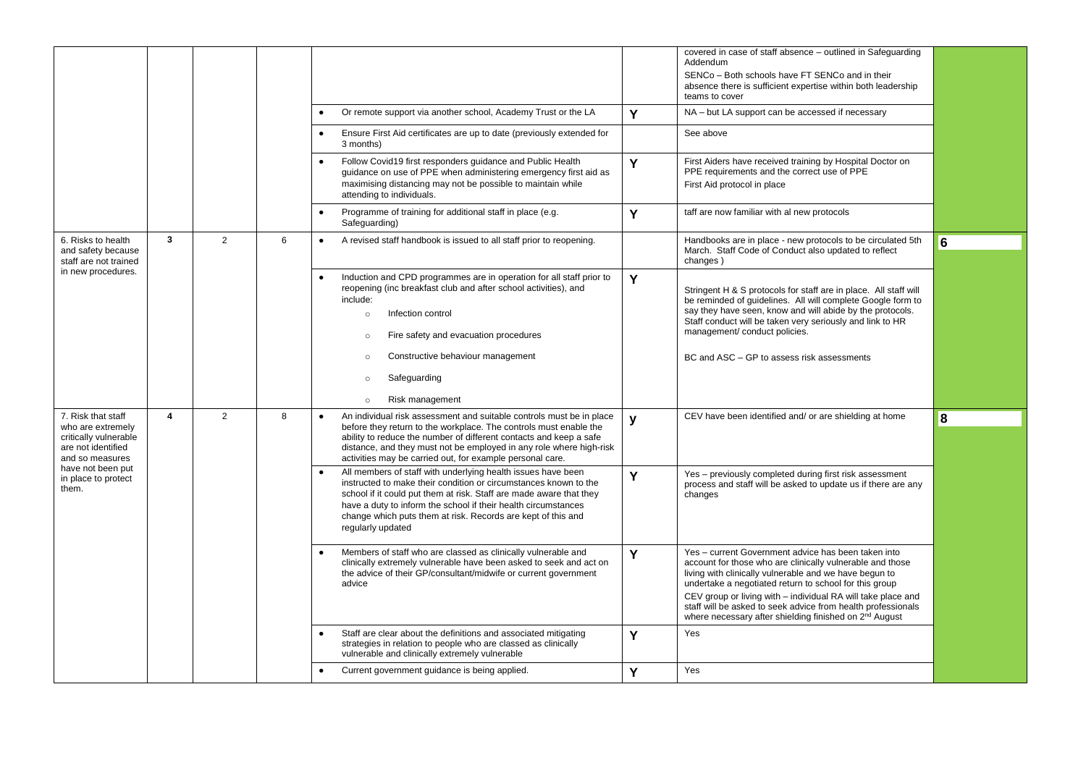|                                                                                     |                         |                |   | Or remote support via another school, Academy Trust or the LA<br>Ensure First Aid certificates are up to date (previously extended for<br>3 months)<br>Follow Covid19 first responders guidance and Public Health<br>quidance on use of PPE when administering emergency first aid as<br>maximising distancing may not be possible to maintain while<br>attending to individuals. | Y<br>Y | covered in case of staff absence – outlined in Safeguarding<br>Addendum<br>SENCo - Both schools have FT SENCo and in their<br>absence there is sufficient expertise within both leadership<br>teams to cover<br>NA - but LA support can be accessed if necessary<br>See above<br>First Aiders have received training by Hospital Doctor on<br>PPE requirements and the correct use of PPE<br>First Aid protocol in place                   |                                                                                                                                                                                                                                                                             |   |  |   |  |  |  |  |  |  |  |  |  |  |  |  |  |  |                                                                                                                                                                                                                                                                                                                                                                |   |
|-------------------------------------------------------------------------------------|-------------------------|----------------|---|-----------------------------------------------------------------------------------------------------------------------------------------------------------------------------------------------------------------------------------------------------------------------------------------------------------------------------------------------------------------------------------|--------|--------------------------------------------------------------------------------------------------------------------------------------------------------------------------------------------------------------------------------------------------------------------------------------------------------------------------------------------------------------------------------------------------------------------------------------------|-----------------------------------------------------------------------------------------------------------------------------------------------------------------------------------------------------------------------------------------------------------------------------|---|--|---|--|--|--|--|--|--|--|--|--|--|--|--|--|--|----------------------------------------------------------------------------------------------------------------------------------------------------------------------------------------------------------------------------------------------------------------------------------------------------------------------------------------------------------------|---|
|                                                                                     |                         |                |   | Programme of training for additional staff in place (e.g.<br>$\bullet$<br>Safeguarding)                                                                                                                                                                                                                                                                                           | Y      | taff are now familiar with al new protocols                                                                                                                                                                                                                                                                                                                                                                                                |                                                                                                                                                                                                                                                                             |   |  |   |  |  |  |  |  |  |  |  |  |  |  |  |  |  |                                                                                                                                                                                                                                                                                                                                                                |   |
| 6. Risks to health<br>and safety because<br>staff are not trained                   | $\overline{\mathbf{3}}$ | $\overline{2}$ | 6 | A revised staff handbook is issued to all staff prior to reopening.<br>$\bullet$                                                                                                                                                                                                                                                                                                  |        | Handbooks are in place - new protocols to be circulated 5th<br>March. Staff Code of Conduct also updated to reflect<br>changes)                                                                                                                                                                                                                                                                                                            | 6                                                                                                                                                                                                                                                                           |   |  |   |  |  |  |  |  |  |  |  |  |  |  |  |  |  |                                                                                                                                                                                                                                                                                                                                                                |   |
| in new procedures.                                                                  |                         |                |   | Induction and CPD programmes are in operation for all staff prior to<br>$\bullet$<br>reopening (inc breakfast club and after school activities), and<br>include:<br>Infection control<br>$\circ$<br>Fire safety and evacuation procedures<br>$\circ$<br>Constructive behaviour management<br>$\circ$<br>Safeguarding<br>$\circ$                                                   | Y      | Stringent H & S protocols for staff are in place. All staff will<br>be reminded of guidelines. All will complete Google form to<br>say they have seen, know and will abide by the protocols.<br>Staff conduct will be taken very seriously and link to HR<br>management/ conduct policies.<br>BC and ASC – GP to assess risk assessments                                                                                                   |                                                                                                                                                                                                                                                                             |   |  |   |  |  |  |  |  |  |  |  |  |  |  |  |  |  |                                                                                                                                                                                                                                                                                                                                                                |   |
| 7. Risk that staff                                                                  | 4                       | 2              | 8 | Risk management<br>$\circ$<br>An individual risk assessment and suitable controls must be in place                                                                                                                                                                                                                                                                                |        | CEV have been identified and/ or are shielding at home                                                                                                                                                                                                                                                                                                                                                                                     |                                                                                                                                                                                                                                                                             |   |  |   |  |  |  |  |  |  |  |  |  |  |  |  |  |  |                                                                                                                                                                                                                                                                                                                                                                |   |
| who are extremely<br>critically vulnerable<br>are not identified<br>and so measures |                         |                |   |                                                                                                                                                                                                                                                                                                                                                                                   |        |                                                                                                                                                                                                                                                                                                                                                                                                                                            | before they return to the workplace. The controls must enable the<br>ability to reduce the number of different contacts and keep a safe<br>distance, and they must not be employed in any role where high-risk<br>activities may be carried out, for example personal care. | y |  | 8 |  |  |  |  |  |  |  |  |  |  |  |  |  |  |                                                                                                                                                                                                                                                                                                                                                                |   |
| have not been put<br>in place to protect<br>them.                                   |                         |                |   |                                                                                                                                                                                                                                                                                                                                                                                   |        |                                                                                                                                                                                                                                                                                                                                                                                                                                            |                                                                                                                                                                                                                                                                             |   |  |   |  |  |  |  |  |  |  |  |  |  |  |  |  |  | All members of staff with underlying health issues have been<br>instructed to make their condition or circumstances known to the<br>school if it could put them at risk. Staff are made aware that they<br>have a duty to inform the school if their health circumstances<br>change which puts them at risk. Records are kept of this and<br>regularly updated | Y |
|                                                                                     |                         |                |   | Members of staff who are classed as clinically vulnerable and<br>clinically extremely vulnerable have been asked to seek and act on<br>the advice of their GP/consultant/midwife or current government<br>advice                                                                                                                                                                  | Y      | Yes - current Government advice has been taken into<br>account for those who are clinically vulnerable and those<br>living with clinically vulnerable and we have begun to<br>undertake a negotiated return to school for this group<br>CEV group or living with - individual RA will take place and<br>staff will be asked to seek advice from health professionals<br>where necessary after shielding finished on 2 <sup>nd</sup> August |                                                                                                                                                                                                                                                                             |   |  |   |  |  |  |  |  |  |  |  |  |  |  |  |  |  |                                                                                                                                                                                                                                                                                                                                                                |   |
|                                                                                     |                         |                |   | Staff are clear about the definitions and associated mitigating<br>strategies in relation to people who are classed as clinically<br>vulnerable and clinically extremely vulnerable                                                                                                                                                                                               | Y      | Yes                                                                                                                                                                                                                                                                                                                                                                                                                                        |                                                                                                                                                                                                                                                                             |   |  |   |  |  |  |  |  |  |  |  |  |  |  |  |  |  |                                                                                                                                                                                                                                                                                                                                                                |   |
|                                                                                     |                         |                |   | Current government guidance is being applied.                                                                                                                                                                                                                                                                                                                                     | Y      | Yes                                                                                                                                                                                                                                                                                                                                                                                                                                        |                                                                                                                                                                                                                                                                             |   |  |   |  |  |  |  |  |  |  |  |  |  |  |  |  |  |                                                                                                                                                                                                                                                                                                                                                                |   |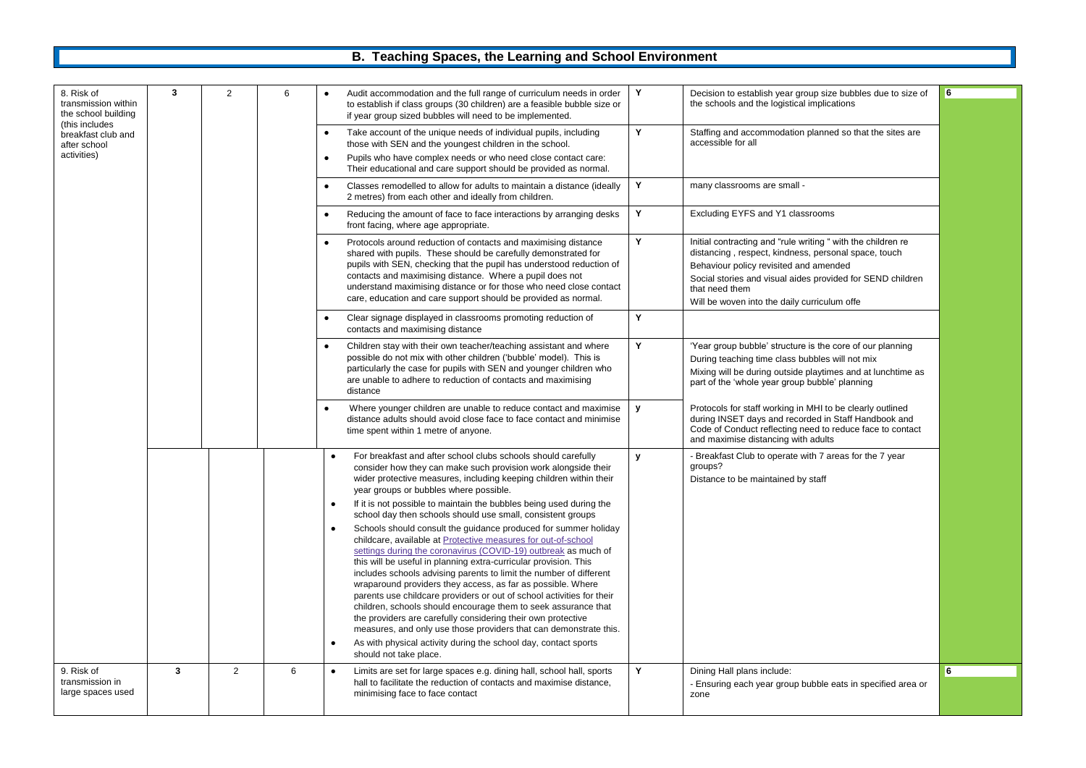### **B. Teaching Spaces, the Learning and School Environment**

| 8. Risk of<br>transmission within<br>the school building<br>(this includes | $\mathbf{3}$ | $\overline{2}$ | 6 |                                                  | Audit accommodation and the full range of curriculum needs in order<br>to establish if class groups (30 children) are a feasible bubble size or<br>if year group sized bubbles will need to be implemented.                                                                                                                                                                                                                                                                                                                                                                                                                                                                                                                                                                                                                                                                                                                                                                                                                                                                                                                                                                       | Y            | Decision to establish year group size bubbles due to size of<br>the schools and the logistical implications                                                                                                                                                                                    | 6 |
|----------------------------------------------------------------------------|--------------|----------------|---|--------------------------------------------------|-----------------------------------------------------------------------------------------------------------------------------------------------------------------------------------------------------------------------------------------------------------------------------------------------------------------------------------------------------------------------------------------------------------------------------------------------------------------------------------------------------------------------------------------------------------------------------------------------------------------------------------------------------------------------------------------------------------------------------------------------------------------------------------------------------------------------------------------------------------------------------------------------------------------------------------------------------------------------------------------------------------------------------------------------------------------------------------------------------------------------------------------------------------------------------------|--------------|------------------------------------------------------------------------------------------------------------------------------------------------------------------------------------------------------------------------------------------------------------------------------------------------|---|
| breakfast club and<br>after school<br>activities)                          |              |                |   | $\bullet$                                        | Take account of the unique needs of individual pupils, including<br>those with SEN and the youngest children in the school.<br>Pupils who have complex needs or who need close contact care:<br>Their educational and care support should be provided as normal.                                                                                                                                                                                                                                                                                                                                                                                                                                                                                                                                                                                                                                                                                                                                                                                                                                                                                                                  | Y            | Staffing and accommodation planned so that the sites are<br>accessible for all                                                                                                                                                                                                                 |   |
|                                                                            |              |                |   | $\bullet$                                        | Classes remodelled to allow for adults to maintain a distance (ideally<br>2 metres) from each other and ideally from children.                                                                                                                                                                                                                                                                                                                                                                                                                                                                                                                                                                                                                                                                                                                                                                                                                                                                                                                                                                                                                                                    | Y            | many classrooms are small -                                                                                                                                                                                                                                                                    |   |
|                                                                            |              |                |   | $\bullet$                                        | Reducing the amount of face to face interactions by arranging desks<br>front facing, where age appropriate.                                                                                                                                                                                                                                                                                                                                                                                                                                                                                                                                                                                                                                                                                                                                                                                                                                                                                                                                                                                                                                                                       | Y            | Excluding EYFS and Y1 classrooms                                                                                                                                                                                                                                                               |   |
|                                                                            |              |                |   |                                                  | Protocols around reduction of contacts and maximising distance<br>shared with pupils. These should be carefully demonstrated for<br>pupils with SEN, checking that the pupil has understood reduction of<br>contacts and maximising distance. Where a pupil does not<br>understand maximising distance or for those who need close contact<br>care, education and care support should be provided as normal.                                                                                                                                                                                                                                                                                                                                                                                                                                                                                                                                                                                                                                                                                                                                                                      | Y            | Initial contracting and "rule writing " with the children re<br>distancing, respect, kindness, personal space, touch<br>Behaviour policy revisited and amended<br>Social stories and visual aides provided for SEND children<br>that need them<br>Will be woven into the daily curriculum offe |   |
|                                                                            |              |                |   |                                                  | Clear signage displayed in classrooms promoting reduction of<br>contacts and maximising distance                                                                                                                                                                                                                                                                                                                                                                                                                                                                                                                                                                                                                                                                                                                                                                                                                                                                                                                                                                                                                                                                                  | Y            |                                                                                                                                                                                                                                                                                                |   |
|                                                                            |              |                |   | $\bullet$                                        | Children stay with their own teacher/teaching assistant and where<br>possible do not mix with other children ('bubble' model). This is<br>particularly the case for pupils with SEN and younger children who<br>are unable to adhere to reduction of contacts and maximising<br>distance                                                                                                                                                                                                                                                                                                                                                                                                                                                                                                                                                                                                                                                                                                                                                                                                                                                                                          | Y            | 'Year group bubble' structure is the core of our planning<br>During teaching time class bubbles will not mix<br>Mixing will be during outside playtimes and at lunchtime as<br>part of the 'whole year group bubble' planning                                                                  |   |
|                                                                            |              |                |   |                                                  | Where younger children are unable to reduce contact and maximise<br>distance adults should avoid close face to face contact and minimise<br>time spent within 1 metre of anyone.                                                                                                                                                                                                                                                                                                                                                                                                                                                                                                                                                                                                                                                                                                                                                                                                                                                                                                                                                                                                  | $\mathbf{y}$ | Protocols for staff working in MHI to be clearly outlined<br>during INSET days and recorded in Staff Handbook and<br>Code of Conduct reflecting need to reduce face to contact<br>and maximise distancing with adults                                                                          |   |
|                                                                            |              |                |   | $\bullet$<br>$\bullet$<br>$\bullet$<br>$\bullet$ | For breakfast and after school clubs schools should carefully<br>consider how they can make such provision work alongside their<br>wider protective measures, including keeping children within their<br>year groups or bubbles where possible.<br>If it is not possible to maintain the bubbles being used during the<br>school day then schools should use small, consistent groups<br>Schools should consult the quidance produced for summer holiday<br>childcare, available at Protective measures for out-of-school<br>settings during the coronavirus (COVID-19) outbreak as much of<br>this will be useful in planning extra-curricular provision. This<br>includes schools advising parents to limit the number of different<br>wraparound providers they access, as far as possible. Where<br>parents use childcare providers or out of school activities for their<br>children, schools should encourage them to seek assurance that<br>the providers are carefully considering their own protective<br>measures, and only use those providers that can demonstrate this.<br>As with physical activity during the school day, contact sports<br>should not take place. | У            | - Breakfast Club to operate with 7 areas for the 7 year<br>groups?<br>Distance to be maintained by staff                                                                                                                                                                                       |   |
| 9. Risk of<br>transmission in<br>large spaces used                         | 3            | $\overline{2}$ | 6 | $\bullet$                                        | Limits are set for large spaces e.g. dining hall, school hall, sports<br>hall to facilitate the reduction of contacts and maximise distance,<br>minimising face to face contact                                                                                                                                                                                                                                                                                                                                                                                                                                                                                                                                                                                                                                                                                                                                                                                                                                                                                                                                                                                                   | Y            | Dining Hall plans include:<br>- Ensuring each year group bubble eats in specified area or<br>zone                                                                                                                                                                                              | 6 |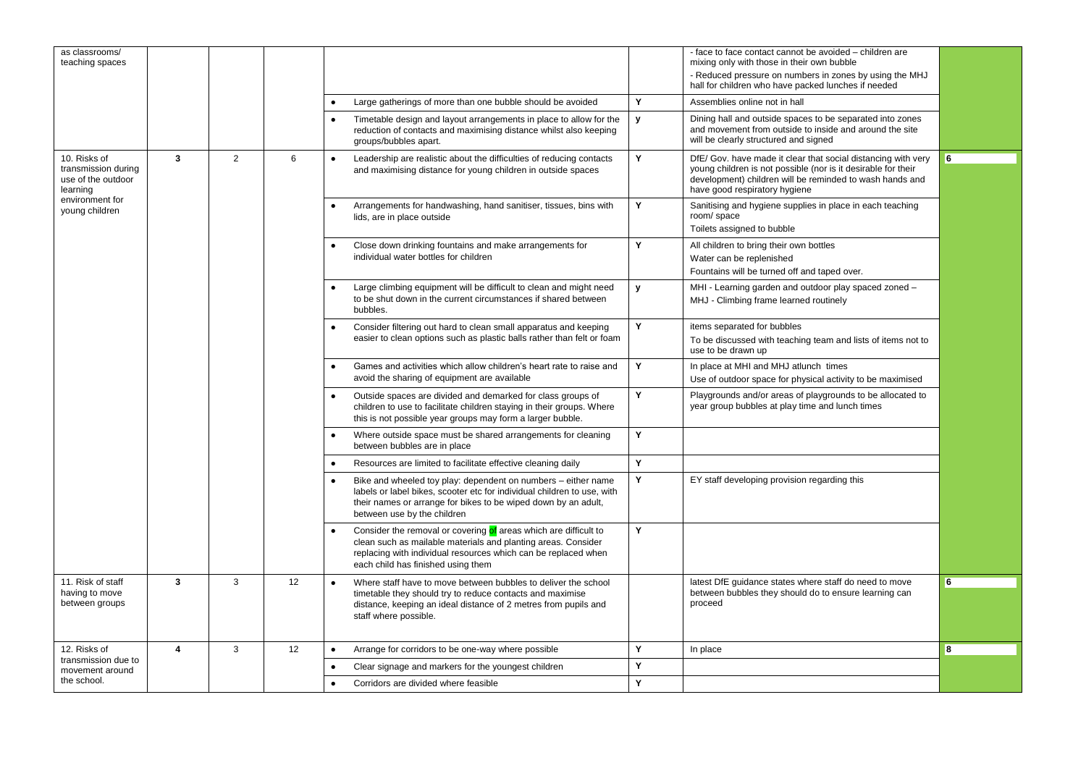| as classrooms/<br>teaching spaces                                     |                         |                |    |                                                                                                                                                                                                                                           |                                                                                                                                                  | - face to face contact cannot be avoided - children are<br>mixing only with those in their own bubble<br>- Reduced pressure on numbers in zones by using the MHJ<br>hall for children who have packed lunches if needed                                |                                                                                                 |                                              |  |  |  |  |  |                                                                                                           |   |  |  |
|-----------------------------------------------------------------------|-------------------------|----------------|----|-------------------------------------------------------------------------------------------------------------------------------------------------------------------------------------------------------------------------------------------|--------------------------------------------------------------------------------------------------------------------------------------------------|--------------------------------------------------------------------------------------------------------------------------------------------------------------------------------------------------------------------------------------------------------|-------------------------------------------------------------------------------------------------|----------------------------------------------|--|--|--|--|--|-----------------------------------------------------------------------------------------------------------|---|--|--|
|                                                                       |                         |                |    | Large gatherings of more than one bubble should be avoided                                                                                                                                                                                | Y                                                                                                                                                | Assemblies online not in hall                                                                                                                                                                                                                          |                                                                                                 |                                              |  |  |  |  |  |                                                                                                           |   |  |  |
|                                                                       |                         |                |    | Timetable design and layout arrangements in place to allow for the<br>$\bullet$<br>reduction of contacts and maximising distance whilst also keeping<br>groups/bubbles apart.                                                             | ${\bf y}$                                                                                                                                        | Dining hall and outside spaces to be separated into zones<br>and movement from outside to inside and around the site<br>will be clearly structured and signed                                                                                          |                                                                                                 |                                              |  |  |  |  |  |                                                                                                           |   |  |  |
| 10. Risks of<br>transmission during<br>use of the outdoor<br>learning | $\mathbf{3}$            | $\overline{2}$ | 6  | Leadership are realistic about the difficulties of reducing contacts<br>$\bullet$<br>and maximising distance for young children in outside spaces                                                                                         | Y                                                                                                                                                | DfE/ Gov. have made it clear that social distancing with very<br>young children is not possible (nor is it desirable for their<br>development) children will be reminded to wash hands and<br>have good respiratory hygiene                            | 6                                                                                               |                                              |  |  |  |  |  |                                                                                                           |   |  |  |
| environment for<br>young children                                     |                         |                |    | Arrangements for handwashing, hand sanitiser, tissues, bins with<br>$\bullet$<br>lids, are in place outside                                                                                                                               | Y                                                                                                                                                | Sanitising and hygiene supplies in place in each teaching<br>room/space<br>Toilets assigned to bubble                                                                                                                                                  |                                                                                                 |                                              |  |  |  |  |  |                                                                                                           |   |  |  |
|                                                                       |                         |                |    | Close down drinking fountains and make arrangements for<br>individual water bottles for children                                                                                                                                          | Y                                                                                                                                                | All children to bring their own bottles<br>Water can be replenished<br>Fountains will be turned off and taped over.                                                                                                                                    |                                                                                                 |                                              |  |  |  |  |  |                                                                                                           |   |  |  |
|                                                                       |                         |                |    |                                                                                                                                                                                                                                           | Large climbing equipment will be difficult to clean and might need<br>to be shut down in the current circumstances if shared between<br>bubbles. | $\mathbf{y}$                                                                                                                                                                                                                                           | MHI - Learning garden and outdoor play spaced zoned -<br>MHJ - Climbing frame learned routinely |                                              |  |  |  |  |  |                                                                                                           |   |  |  |
|                                                                       |                         |                |    | Consider filtering out hard to clean small apparatus and keeping<br>$\bullet$<br>easier to clean options such as plastic balls rather than felt or foam                                                                                   | Y                                                                                                                                                | items separated for bubbles<br>To be discussed with teaching team and lists of items not to<br>use to be drawn up                                                                                                                                      |                                                                                                 |                                              |  |  |  |  |  |                                                                                                           |   |  |  |
|                                                                       |                         |                |    | Games and activities which allow children's heart rate to raise and<br>$\bullet$<br>avoid the sharing of equipment are available                                                                                                          | Y                                                                                                                                                | In place at MHI and MHJ atlunch times<br>Use of outdoor space for physical activity to be maximised                                                                                                                                                    |                                                                                                 |                                              |  |  |  |  |  |                                                                                                           |   |  |  |
|                                                                       |                         |                |    | Outside spaces are divided and demarked for class groups of<br>$\bullet$<br>children to use to facilitate children staying in their groups. Where<br>this is not possible year groups may form a larger bubble.                           | Y                                                                                                                                                | Playgrounds and/or areas of playgrounds to be allocated to<br>year group bubbles at play time and lunch times                                                                                                                                          |                                                                                                 |                                              |  |  |  |  |  |                                                                                                           |   |  |  |
|                                                                       |                         |                |    |                                                                                                                                                                                                                                           |                                                                                                                                                  |                                                                                                                                                                                                                                                        |                                                                                                 |                                              |  |  |  |  |  | Where outside space must be shared arrangements for cleaning<br>$\bullet$<br>between bubbles are in place | Y |  |  |
|                                                                       |                         |                |    | Resources are limited to facilitate effective cleaning daily<br>$\bullet$                                                                                                                                                                 | Y                                                                                                                                                |                                                                                                                                                                                                                                                        |                                                                                                 |                                              |  |  |  |  |  |                                                                                                           |   |  |  |
|                                                                       |                         |                |    |                                                                                                                                                                                                                                           |                                                                                                                                                  | Bike and wheeled toy play: dependent on numbers - either name<br>$\bullet$<br>labels or label bikes, scooter etc for individual children to use, with<br>their names or arrange for bikes to be wiped down by an adult,<br>between use by the children | Y                                                                                               | EY staff developing provision regarding this |  |  |  |  |  |                                                                                                           |   |  |  |
|                                                                       |                         |                |    | Consider the removal or covering of areas which are difficult to<br>clean such as mailable materials and planting areas. Consider<br>replacing with individual resources which can be replaced when<br>each child has finished using them | Y                                                                                                                                                |                                                                                                                                                                                                                                                        |                                                                                                 |                                              |  |  |  |  |  |                                                                                                           |   |  |  |
| 11. Risk of staff<br>having to move<br>between groups                 | 3                       | 3              | 12 | Where staff have to move between bubbles to deliver the school<br>$\bullet$<br>timetable they should try to reduce contacts and maximise<br>distance, keeping an ideal distance of 2 metres from pupils and<br>staff where possible.      |                                                                                                                                                  | latest DfE guidance states where staff do need to move<br>between bubbles they should do to ensure learning can<br>proceed                                                                                                                             | 6                                                                                               |                                              |  |  |  |  |  |                                                                                                           |   |  |  |
| 12. Risks of                                                          | $\overline{\mathbf{4}}$ | 3              | 12 | Arrange for corridors to be one-way where possible<br>$\bullet$                                                                                                                                                                           | Y                                                                                                                                                | In place                                                                                                                                                                                                                                               | 8                                                                                               |                                              |  |  |  |  |  |                                                                                                           |   |  |  |
| transmission due to<br>movement around                                |                         | $\bullet$      |    |                                                                                                                                                                                                                                           |                                                                                                                                                  |                                                                                                                                                                                                                                                        |                                                                                                 |                                              |  |  |  |  |  | Clear signage and markers for the youngest children                                                       | Y |  |  |
| the school.                                                           |                         |                |    | Corridors are divided where feasible<br>$\bullet$                                                                                                                                                                                         | Y                                                                                                                                                |                                                                                                                                                                                                                                                        |                                                                                                 |                                              |  |  |  |  |  |                                                                                                           |   |  |  |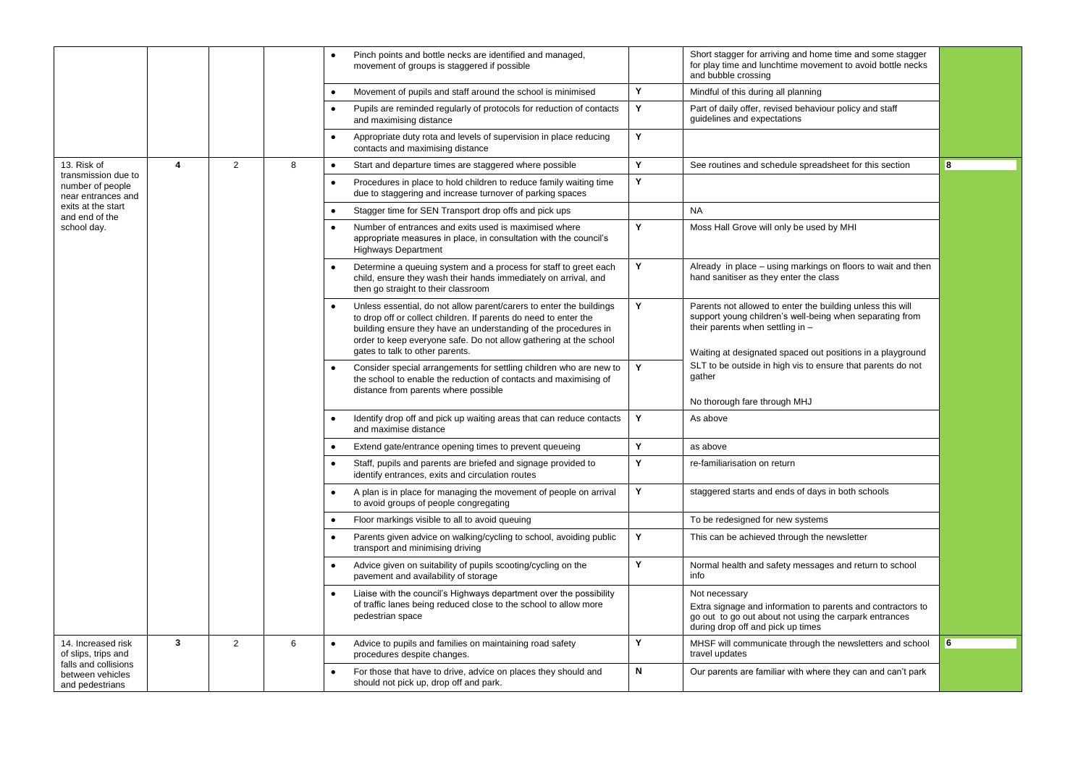|                                                                   |              |                |   | Pinch points and bottle necks are identified and managed,<br>$\bullet$<br>movement of groups is staggered if possible                                                                                                                                                                                              |   | Short stagger for arriving and home time and some stagger<br>for play time and lunchtime movement to avoid bottle necks<br>and bubble crossing                                                                           |   |
|-------------------------------------------------------------------|--------------|----------------|---|--------------------------------------------------------------------------------------------------------------------------------------------------------------------------------------------------------------------------------------------------------------------------------------------------------------------|---|--------------------------------------------------------------------------------------------------------------------------------------------------------------------------------------------------------------------------|---|
|                                                                   |              |                |   | Movement of pupils and staff around the school is minimised<br>$\bullet$                                                                                                                                                                                                                                           | Y | Mindful of this during all planning                                                                                                                                                                                      |   |
|                                                                   |              |                |   | Pupils are reminded regularly of protocols for reduction of contacts<br>$\bullet$<br>and maximising distance                                                                                                                                                                                                       | Y | Part of daily offer, revised behaviour policy and staff<br>guidelines and expectations                                                                                                                                   |   |
|                                                                   |              |                |   | Appropriate duty rota and levels of supervision in place reducing<br>$\bullet$<br>contacts and maximising distance                                                                                                                                                                                                 | Y |                                                                                                                                                                                                                          |   |
| 13. Risk of                                                       | 4            | $\overline{2}$ | 8 | Start and departure times are staggered where possible<br>$\bullet$                                                                                                                                                                                                                                                | Y | See routines and schedule spreadsheet for this section                                                                                                                                                                   | 8 |
| transmission due to<br>number of people<br>near entrances and     |              |                |   | Procedures in place to hold children to reduce family waiting time<br>$\bullet$<br>due to staggering and increase turnover of parking spaces                                                                                                                                                                       | Y |                                                                                                                                                                                                                          |   |
| exits at the start<br>and end of the                              |              |                |   | Stagger time for SEN Transport drop offs and pick ups<br>$\bullet$                                                                                                                                                                                                                                                 |   | <b>NA</b>                                                                                                                                                                                                                |   |
| school day.                                                       |              |                |   | Number of entrances and exits used is maximised where<br>$\bullet$<br>appropriate measures in place, in consultation with the council's<br><b>Highways Department</b>                                                                                                                                              | Y | Moss Hall Grove will only be used by MHI                                                                                                                                                                                 |   |
|                                                                   |              |                |   | Determine a queuing system and a process for staff to greet each<br>child, ensure they wash their hands immediately on arrival, and<br>then go straight to their classroom                                                                                                                                         | Y | Already in place – using markings on floors to wait and then<br>hand sanitiser as they enter the class                                                                                                                   |   |
|                                                                   |              |                |   | Unless essential, do not allow parent/carers to enter the buildings<br>to drop off or collect children. If parents do need to enter the<br>building ensure they have an understanding of the procedures in<br>order to keep everyone safe. Do not allow gathering at the school<br>gates to talk to other parents. | Y | Parents not allowed to enter the building unless this will<br>support young children's well-being when separating from<br>their parents when settling in -<br>Waiting at designated spaced out positions in a playground |   |
|                                                                   |              |                |   | Consider special arrangements for settling children who are new to<br>the school to enable the reduction of contacts and maximising of<br>distance from parents where possible                                                                                                                                     | Y | SLT to be outside in high vis to ensure that parents do not<br>gather<br>No thorough fare through MHJ                                                                                                                    |   |
|                                                                   |              |                |   | Identify drop off and pick up waiting areas that can reduce contacts<br>$\bullet$<br>and maximise distance                                                                                                                                                                                                         | Υ | As above                                                                                                                                                                                                                 |   |
|                                                                   |              |                |   | Extend gate/entrance opening times to prevent queueing<br>$\bullet$                                                                                                                                                                                                                                                | Y | as above                                                                                                                                                                                                                 |   |
|                                                                   |              |                |   | Staff, pupils and parents are briefed and signage provided to<br>$\bullet$<br>identify entrances, exits and circulation routes                                                                                                                                                                                     | Y | re-familiarisation on return                                                                                                                                                                                             |   |
|                                                                   |              |                |   | A plan is in place for managing the movement of people on arrival<br>$\bullet$<br>to avoid groups of people congregating                                                                                                                                                                                           | Y | staggered starts and ends of days in both schools                                                                                                                                                                        |   |
|                                                                   |              |                |   | Floor markings visible to all to avoid queuing<br>$\bullet$                                                                                                                                                                                                                                                        |   | To be redesigned for new systems                                                                                                                                                                                         |   |
|                                                                   |              |                |   | Parents given advice on walking/cycling to school, avoiding public<br>$\bullet$<br>transport and minimising driving                                                                                                                                                                                                | Y | This can be achieved through the newsletter                                                                                                                                                                              |   |
|                                                                   |              |                |   | Advice given on suitability of pupils scooting/cycling on the<br>$\bullet$<br>pavement and availability of storage                                                                                                                                                                                                 | Y | Normal health and safety messages and return to school<br>info                                                                                                                                                           |   |
|                                                                   |              |                |   | Liaise with the council's Highways department over the possibility<br>$\bullet$<br>of traffic lanes being reduced close to the school to allow more<br>pedestrian space                                                                                                                                            |   | Not necessary<br>Extra signage and information to parents and contractors to<br>go out to go out about not using the carpark entrances<br>during drop off and pick up times                                              |   |
| 14. Increased risk<br>of slips, trips and<br>falls and collisions | $\mathbf{3}$ | $\overline{2}$ | 6 | Advice to pupils and families on maintaining road safety<br>$\bullet$<br>procedures despite changes.                                                                                                                                                                                                               | Y | MHSF will communicate through the newsletters and school<br>travel updates                                                                                                                                               | 6 |
| between vehicles<br>and pedestrians                               |              |                |   | For those that have to drive, advice on places they should and<br>should not pick up, drop off and park.                                                                                                                                                                                                           | N | Our parents are familiar with where they can and can't park                                                                                                                                                              |   |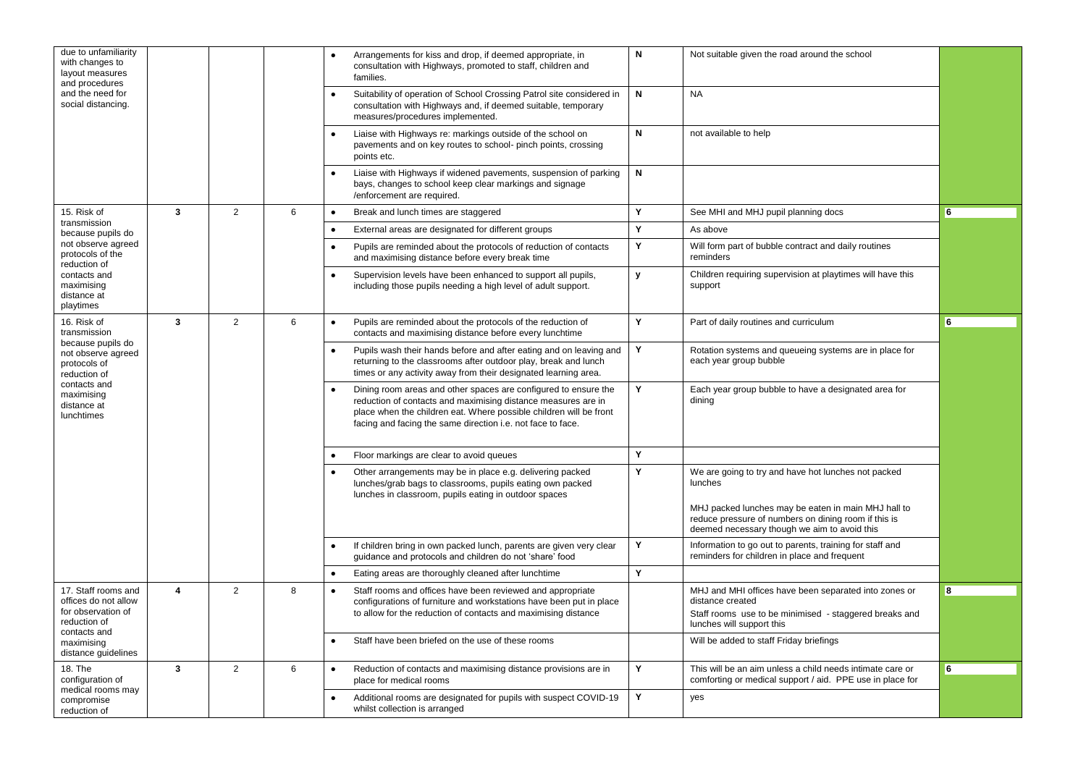| due to unfamiliarity<br>with changes to<br>layout measures<br>and procedures                                                       |                         |                |   | Arrangements for kiss and drop, if deemed appropriate, in<br>$\bullet$<br>consultation with Highways, promoted to staff, children and<br>families.                                                                                                                                 | $\mathsf{N}$ | Not suitable given the road around the school                                                                                                               |   |
|------------------------------------------------------------------------------------------------------------------------------------|-------------------------|----------------|---|------------------------------------------------------------------------------------------------------------------------------------------------------------------------------------------------------------------------------------------------------------------------------------|--------------|-------------------------------------------------------------------------------------------------------------------------------------------------------------|---|
| and the need for<br>social distancing.                                                                                             |                         |                |   | Suitability of operation of School Crossing Patrol site considered in<br>$\bullet$<br>consultation with Highways and, if deemed suitable, temporary<br>measures/procedures implemented.                                                                                            | ${\sf N}$    | <b>NA</b>                                                                                                                                                   |   |
|                                                                                                                                    |                         |                |   | Liaise with Highways re: markings outside of the school on<br>$\bullet$<br>pavements and on key routes to school- pinch points, crossing<br>points etc.                                                                                                                            | $\mathbf N$  | not available to help                                                                                                                                       |   |
|                                                                                                                                    |                         |                |   | Liaise with Highways if widened pavements, suspension of parking<br>$\bullet$<br>bays, changes to school keep clear markings and signage<br>/enforcement are required.                                                                                                             | $\mathbf N$  |                                                                                                                                                             |   |
| 15. Risk of                                                                                                                        | $\overline{\mathbf{3}}$ | $\overline{2}$ | 6 | Break and lunch times are staggered<br>$\bullet$                                                                                                                                                                                                                                   | Y            | See MHI and MHJ pupil planning docs                                                                                                                         | 6 |
| transmission<br>because pupils do                                                                                                  |                         |                |   | External areas are designated for different groups<br>$\bullet$                                                                                                                                                                                                                    | Y            | As above                                                                                                                                                    |   |
| not observe agreed<br>protocols of the<br>reduction of                                                                             |                         |                |   | Pupils are reminded about the protocols of reduction of contacts<br>$\bullet$<br>and maximising distance before every break time                                                                                                                                                   | Y            | Will form part of bubble contract and daily routines<br>reminders                                                                                           |   |
| contacts and<br>maximising<br>distance at<br>playtimes                                                                             |                         |                |   | Supervision levels have been enhanced to support all pupils,<br>$\bullet$<br>including those pupils needing a high level of adult support.                                                                                                                                         | ${\bf y}$    | Children requiring supervision at playtimes will have this<br>support                                                                                       |   |
| 16. Risk of<br>transmission                                                                                                        | 3                       | $\overline{2}$ | 6 | Pupils are reminded about the protocols of the reduction of<br>$\bullet$<br>contacts and maximising distance before every lunchtime                                                                                                                                                | Y            | Part of daily routines and curriculum                                                                                                                       | 6 |
| because pupils do<br>not observe agreed<br>protocols of<br>reduction of<br>contacts and<br>maximising<br>distance at<br>lunchtimes |                         |                |   | Pupils wash their hands before and after eating and on leaving and<br>$\bullet$<br>returning to the classrooms after outdoor play, break and lunch<br>times or any activity away from their designated learning area.                                                              | Y            | Rotation systems and queueing systems are in place for<br>each year group bubble                                                                            |   |
|                                                                                                                                    |                         |                |   | Dining room areas and other spaces are configured to ensure the<br>$\bullet$<br>reduction of contacts and maximising distance measures are in<br>place when the children eat. Where possible children will be front<br>facing and facing the same direction i.e. not face to face. | Y            | Each year group bubble to have a designated area for<br>dining                                                                                              |   |
|                                                                                                                                    |                         |                |   | Floor markings are clear to avoid queues<br>$\bullet$                                                                                                                                                                                                                              | Y            |                                                                                                                                                             |   |
|                                                                                                                                    |                         |                |   | Other arrangements may be in place e.g. delivering packed<br>$\bullet$<br>lunches/grab bags to classrooms, pupils eating own packed<br>lunches in classroom, pupils eating in outdoor spaces                                                                                       | Y            | We are going to try and have hot lunches not packed<br>lunches                                                                                              |   |
|                                                                                                                                    |                         |                |   |                                                                                                                                                                                                                                                                                    |              | MHJ packed lunches may be eaten in main MHJ hall to<br>reduce pressure of numbers on dining room if this is<br>deemed necessary though we aim to avoid this |   |
|                                                                                                                                    |                         |                |   | If children bring in own packed lunch, parents are given very clear<br>guidance and protocols and children do not 'share' food                                                                                                                                                     | Y            | Information to go out to parents, training for staff and<br>reminders for children in place and frequent                                                    |   |
|                                                                                                                                    |                         |                |   | Eating areas are thoroughly cleaned after lunchtime<br>$\bullet$                                                                                                                                                                                                                   | Y            |                                                                                                                                                             |   |
| 17. Staff rooms and<br>offices do not allow                                                                                        | $\overline{4}$          | $\overline{2}$ | 8 | Staff rooms and offices have been reviewed and appropriate<br>$\bullet$<br>configurations of furniture and workstations have been put in place                                                                                                                                     |              | MHJ and MHI offices have been separated into zones or<br>distance created                                                                                   | 8 |
| for observation of<br>reduction of                                                                                                 |                         |                |   | to allow for the reduction of contacts and maximising distance                                                                                                                                                                                                                     |              | Staff rooms use to be minimised - staggered breaks and<br>lunches will support this                                                                         |   |
| contacts and<br>maximising<br>distance guidelines                                                                                  |                         |                |   | Staff have been briefed on the use of these rooms<br>$\bullet$                                                                                                                                                                                                                     |              | Will be added to staff Friday briefings                                                                                                                     |   |
| 18. The<br>configuration of<br>medical rooms may                                                                                   | $\mathbf{3}$            | 2              | 6 | Reduction of contacts and maximising distance provisions are in<br>$\bullet$<br>place for medical rooms                                                                                                                                                                            | Y            | This will be an aim unless a child needs intimate care or<br>comforting or medical support / aid. PPE use in place for                                      | 6 |
| compromise<br>reduction of                                                                                                         |                         |                |   | Additional rooms are designated for pupils with suspect COVID-19<br>whilst collection is arranged                                                                                                                                                                                  | Y            | yes                                                                                                                                                         |   |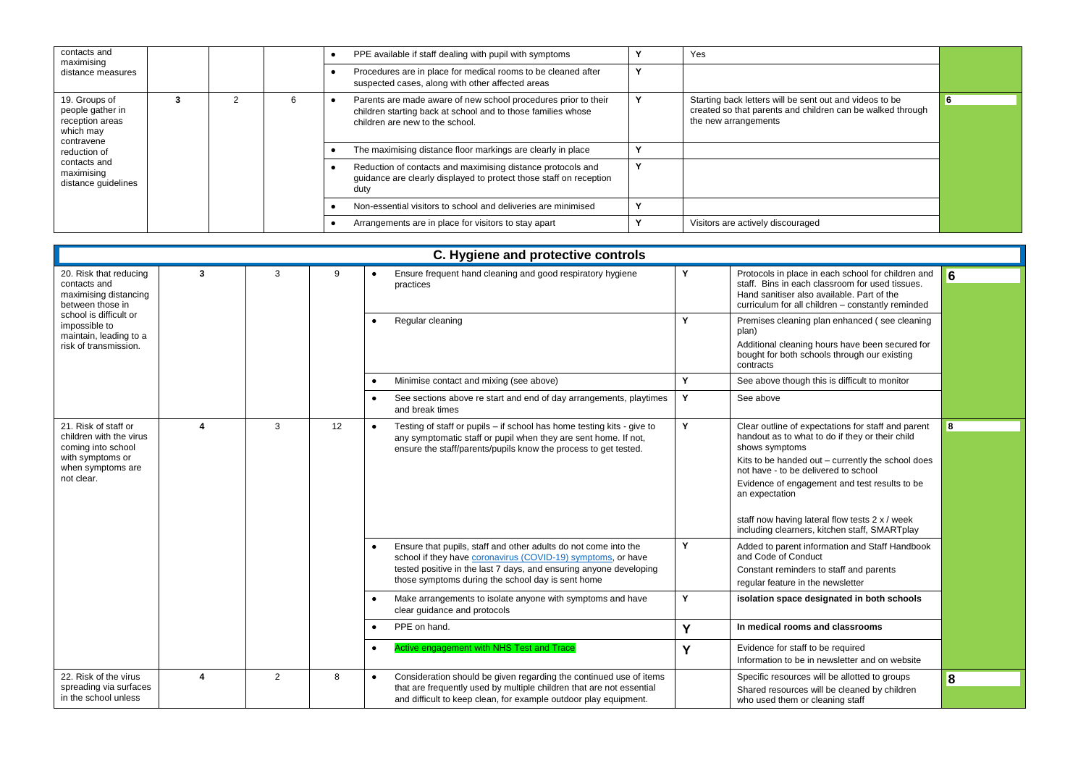| contacts and<br>maximising                                                                                                                           |  |  |   | PPE available if staff dealing with pupil with symptoms                                                                                                           | Yes                                                                                                                                           |  |
|------------------------------------------------------------------------------------------------------------------------------------------------------|--|--|---|-------------------------------------------------------------------------------------------------------------------------------------------------------------------|-----------------------------------------------------------------------------------------------------------------------------------------------|--|
| distance measures                                                                                                                                    |  |  |   | Procedures are in place for medical rooms to be cleaned after<br>suspected cases, along with other affected areas                                                 |                                                                                                                                               |  |
| 19. Groups of<br>people gather in<br>reception areas<br>which may<br>contravene<br>reduction of<br>contacts and<br>maximising<br>distance quidelines |  |  | 6 | Parents are made aware of new school procedures prior to their<br>children starting back at school and to those families whose<br>children are new to the school. | Starting back letters will be sent out and videos to be<br>created so that parents and children can be walked through<br>the new arrangements |  |
|                                                                                                                                                      |  |  |   | The maximising distance floor markings are clearly in place                                                                                                       |                                                                                                                                               |  |
|                                                                                                                                                      |  |  |   | Reduction of contacts and maximising distance protocols and<br>quidance are clearly displayed to protect those staff on reception<br>duty                         |                                                                                                                                               |  |
|                                                                                                                                                      |  |  |   | Non-essential visitors to school and deliveries are minimised                                                                                                     |                                                                                                                                               |  |
|                                                                                                                                                      |  |  |   | Arrangements are in place for visitors to stay apart                                                                                                              | Visitors are actively discouraged                                                                                                             |  |

|                                                                                                                                                                                   | C. Hygiene and protective controls |   |    |                                                                                                                                                                                                                                                                         |   |                                                                                                                                                                                                          |   |  |  |  |                                                        |   |                                                                                     |  |
|-----------------------------------------------------------------------------------------------------------------------------------------------------------------------------------|------------------------------------|---|----|-------------------------------------------------------------------------------------------------------------------------------------------------------------------------------------------------------------------------------------------------------------------------|---|----------------------------------------------------------------------------------------------------------------------------------------------------------------------------------------------------------|---|--|--|--|--------------------------------------------------------|---|-------------------------------------------------------------------------------------|--|
| 20. Risk that reducing<br>contacts and<br>maximising distancing<br>between those in<br>school is difficult or<br>impossible to<br>maintain, leading to a<br>risk of transmission. | 3                                  | 3 | 9  | Ensure frequent hand cleaning and good respiratory hygiene<br>practices                                                                                                                                                                                                 | Υ | Protocols in place in each school for children and<br>staff. Bins in each classroom for used tissues.<br>Hand sanitiser also available. Part of the<br>curriculum for all children - constantly reminded | 6 |  |  |  |                                                        |   |                                                                                     |  |
|                                                                                                                                                                                   |                                    |   |    | Regular cleaning<br>$\bullet$                                                                                                                                                                                                                                           | ٧ | Premises cleaning plan enhanced (see cleaning<br>plan)<br>Additional cleaning hours have been secured for<br>bought for both schools through our existing<br>contracts                                   |   |  |  |  |                                                        |   |                                                                                     |  |
|                                                                                                                                                                                   |                                    |   |    | Minimise contact and mixing (see above)                                                                                                                                                                                                                                 | Y | See above though this is difficult to monitor                                                                                                                                                            |   |  |  |  |                                                        |   |                                                                                     |  |
|                                                                                                                                                                                   |                                    |   |    | See sections above re start and end of day arrangements, playtimes<br>$\bullet$<br>and break times                                                                                                                                                                      | Υ | See above                                                                                                                                                                                                |   |  |  |  |                                                        |   |                                                                                     |  |
| 21. Risk of staff or<br>children with the virus<br>coming into school<br>with symptoms or<br>when symptoms are<br>not clear.                                                      | $\boldsymbol{\Lambda}$             | 3 | 12 | Testing of staff or pupils - if school has home testing kits - give to<br>$\bullet$<br>any symptomatic staff or pupil when they are sent home. If not,<br>ensure the staff/parents/pupils know the process to get tested.                                               | v | Clear outline of expectations for staff and parent<br>handout as to what to do if they or their child<br>shows symptoms                                                                                  | 8 |  |  |  |                                                        |   |                                                                                     |  |
|                                                                                                                                                                                   |                                    |   |    |                                                                                                                                                                                                                                                                         |   | Kits to be handed out - currently the school does<br>not have - to be delivered to school                                                                                                                |   |  |  |  |                                                        |   |                                                                                     |  |
|                                                                                                                                                                                   |                                    |   |    |                                                                                                                                                                                                                                                                         |   | Evidence of engagement and test results to be<br>an expectation                                                                                                                                          |   |  |  |  |                                                        |   |                                                                                     |  |
|                                                                                                                                                                                   |                                    |   |    |                                                                                                                                                                                                                                                                         |   | staff now having lateral flow tests 2 x / week<br>including clearners, kitchen staff, SMARTplay                                                                                                          |   |  |  |  |                                                        |   |                                                                                     |  |
|                                                                                                                                                                                   |                                    |   |    | Ensure that pupils, staff and other adults do not come into the<br>$\bullet$<br>school if they have coronavirus (COVID-19) symptoms, or have<br>tested positive in the last 7 days, and ensuring anyone developing<br>those symptoms during the school day is sent home | Y | Added to parent information and Staff Handbook<br>and Code of Conduct<br>Constant reminders to staff and parents<br>regular feature in the newsletter                                                    |   |  |  |  |                                                        |   |                                                                                     |  |
|                                                                                                                                                                                   |                                    |   |    | Make arrangements to isolate anyone with symptoms and have<br>$\bullet$<br>clear quidance and protocols                                                                                                                                                                 | Y | isolation space designated in both schools                                                                                                                                                               |   |  |  |  |                                                        |   |                                                                                     |  |
|                                                                                                                                                                                   |                                    |   |    | PPE on hand.<br>$\bullet$                                                                                                                                                                                                                                               | Y | In medical rooms and classrooms                                                                                                                                                                          |   |  |  |  |                                                        |   |                                                                                     |  |
|                                                                                                                                                                                   |                                    |   |    |                                                                                                                                                                                                                                                                         |   |                                                                                                                                                                                                          |   |  |  |  | Active engagement with NHS Test and Trace<br>$\bullet$ | Y | Evidence for staff to be required<br>Information to be in newsletter and on website |  |
| 22. Risk of the virus                                                                                                                                                             | $\overline{\mathbf{A}}$            | 2 | 8  | Consideration should be given regarding the continued use of items<br>$\bullet$                                                                                                                                                                                         |   | Specific resources will be allotted to groups                                                                                                                                                            | 8 |  |  |  |                                                        |   |                                                                                     |  |
| spreading via surfaces<br>in the school unless                                                                                                                                    |                                    |   |    | that are frequently used by multiple children that are not essential<br>and difficult to keep clean, for example outdoor play equipment.                                                                                                                                |   | Shared resources will be cleaned by children<br>who used them or cleaning staff                                                                                                                          |   |  |  |  |                                                        |   |                                                                                     |  |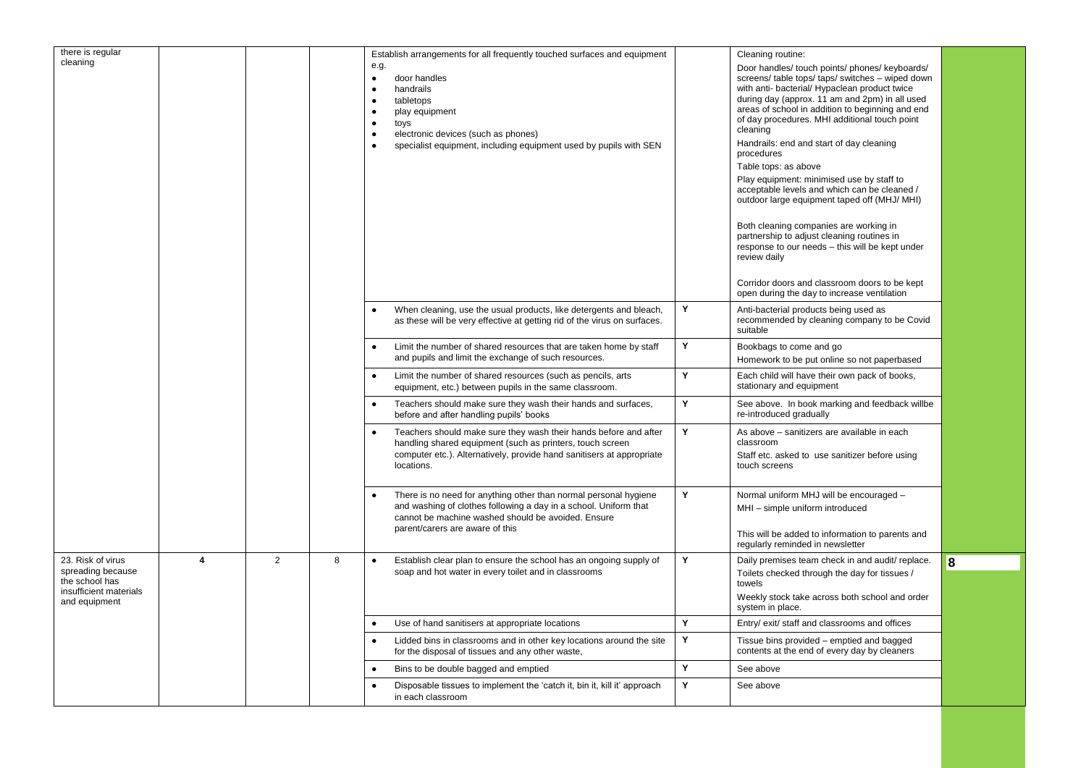| there is regular<br>cleaning                                                                        |                         |                |   | Establish arrangements for all frequently touched surfaces and equipment<br>e.g.<br>door handles<br>$\bullet$<br>handrails<br>$\bullet$<br>tabletops<br>$\bullet$<br>play equipment<br>$\bullet$<br>toys<br>$\bullet$<br>electronic devices (such as phones)<br>$\bullet$<br>specialist equipment, including equipment used by pupils with SEN<br>$\bullet$ |   | Cleaning routine:<br>Door handles/ touch points/ phones/ keyboards/<br>screens/ table tops/ taps/ switches - wiped down<br>with anti- bacterial/ Hypaclean product twice<br>during day (approx. 11 am and 2pm) in all used<br>areas of school in addition to beginning and end<br>of day procedures. MHI additional touch point<br>cleaning<br>Handrails: end and start of day cleaning<br>procedures<br>Table tops: as above<br>Play equipment: minimised use by staff to<br>acceptable levels and which can be cleaned /<br>outdoor large equipment taped off (MHJ/ MHI)<br>Both cleaning companies are working in<br>partnership to adjust cleaning routines in<br>response to our needs - this will be kept under<br>review daily<br>Corridor doors and classroom doors to be kept |   |
|-----------------------------------------------------------------------------------------------------|-------------------------|----------------|---|-------------------------------------------------------------------------------------------------------------------------------------------------------------------------------------------------------------------------------------------------------------------------------------------------------------------------------------------------------------|---|----------------------------------------------------------------------------------------------------------------------------------------------------------------------------------------------------------------------------------------------------------------------------------------------------------------------------------------------------------------------------------------------------------------------------------------------------------------------------------------------------------------------------------------------------------------------------------------------------------------------------------------------------------------------------------------------------------------------------------------------------------------------------------------|---|
|                                                                                                     |                         |                |   | When cleaning, use the usual products, like detergents and bleach,<br>as these will be very effective at getting rid of the virus on surfaces.                                                                                                                                                                                                              | Y | open during the day to increase ventilation<br>Anti-bacterial products being used as<br>recommended by cleaning company to be Covid<br>suitable                                                                                                                                                                                                                                                                                                                                                                                                                                                                                                                                                                                                                                        |   |
|                                                                                                     |                         |                |   | Limit the number of shared resources that are taken home by staff<br>and pupils and limit the exchange of such resources.                                                                                                                                                                                                                                   | Y | Bookbags to come and go<br>Homework to be put online so not paperbased                                                                                                                                                                                                                                                                                                                                                                                                                                                                                                                                                                                                                                                                                                                 |   |
|                                                                                                     |                         |                |   | Limit the number of shared resources (such as pencils, arts<br>equipment, etc.) between pupils in the same classroom.                                                                                                                                                                                                                                       | Y | Each child will have their own pack of books,<br>stationary and equipment                                                                                                                                                                                                                                                                                                                                                                                                                                                                                                                                                                                                                                                                                                              |   |
|                                                                                                     |                         |                |   | Teachers should make sure they wash their hands and surfaces,<br>$\bullet$<br>before and after handling pupils' books                                                                                                                                                                                                                                       | Y | See above. In book marking and feedback willbe<br>re-introduced gradually                                                                                                                                                                                                                                                                                                                                                                                                                                                                                                                                                                                                                                                                                                              |   |
|                                                                                                     |                         |                |   | Teachers should make sure they wash their hands before and after<br>handling shared equipment (such as printers, touch screen<br>computer etc.). Alternatively, provide hand sanitisers at appropriate<br>locations.                                                                                                                                        | Y | As above – sanitizers are available in each<br>classroom<br>Staff etc. asked to use sanitizer before using<br>touch screens                                                                                                                                                                                                                                                                                                                                                                                                                                                                                                                                                                                                                                                            |   |
|                                                                                                     |                         |                |   | There is no need for anything other than normal personal hygiene<br>and washing of clothes following a day in a school. Uniform that<br>cannot be machine washed should be avoided. Ensure<br>parent/carers are aware of this                                                                                                                               | Y | Normal uniform MHJ will be encouraged -<br>MHI - simple uniform introduced<br>This will be added to information to parents and<br>regularly reminded in newsletter                                                                                                                                                                                                                                                                                                                                                                                                                                                                                                                                                                                                                     |   |
| 23. Risk of virus<br>spreading because<br>the school has<br>insufficient materials<br>and equipment | $\overline{\mathbf{4}}$ | $\overline{2}$ | 8 | Establish clear plan to ensure the school has an ongoing supply of<br>$\bullet$<br>soap and hot water in every toilet and in classrooms                                                                                                                                                                                                                     | Y | Daily premises team check in and audit/replace.<br>Toilets checked through the day for tissues /<br>towels<br>Weekly stock take across both school and order<br>system in place.                                                                                                                                                                                                                                                                                                                                                                                                                                                                                                                                                                                                       | 8 |
|                                                                                                     |                         |                |   | Use of hand sanitisers at appropriate locations<br>$\bullet$                                                                                                                                                                                                                                                                                                | Y | Entry/ exit/ staff and classrooms and offices                                                                                                                                                                                                                                                                                                                                                                                                                                                                                                                                                                                                                                                                                                                                          |   |
|                                                                                                     |                         |                |   | Lidded bins in classrooms and in other key locations around the site<br>$\bullet$<br>for the disposal of tissues and any other waste,                                                                                                                                                                                                                       | Y | Tissue bins provided – emptied and bagged<br>contents at the end of every day by cleaners                                                                                                                                                                                                                                                                                                                                                                                                                                                                                                                                                                                                                                                                                              |   |
|                                                                                                     |                         |                |   | Bins to be double bagged and emptied                                                                                                                                                                                                                                                                                                                        | Y | See above                                                                                                                                                                                                                                                                                                                                                                                                                                                                                                                                                                                                                                                                                                                                                                              |   |
|                                                                                                     |                         |                |   | Disposable tissues to implement the 'catch it, bin it, kill it' approach<br>in each classroom                                                                                                                                                                                                                                                               | Y | See above                                                                                                                                                                                                                                                                                                                                                                                                                                                                                                                                                                                                                                                                                                                                                                              |   |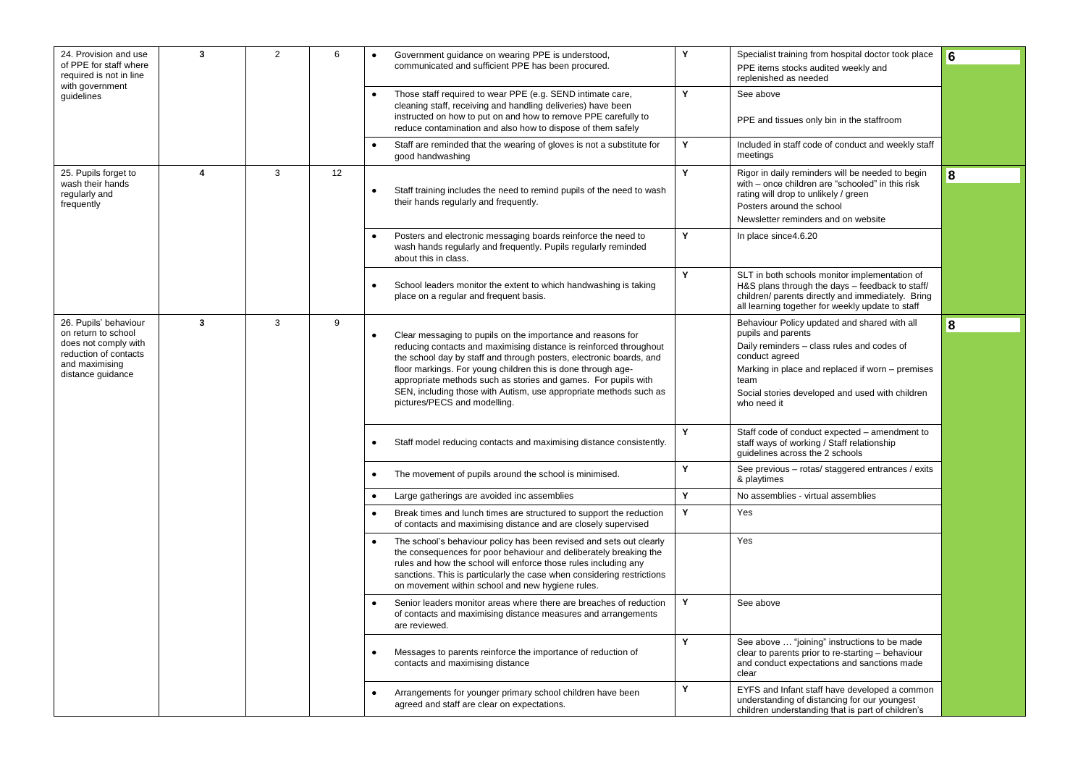| 24. Provision and use<br>of PPE for staff where<br>required is not in line                                                           | 3                       | $\overline{2}$ | 6  | Government guidance on wearing PPE is understood,<br>communicated and sufficient PPE has been procured.                                                                                                                                                                                                                                                                                                                                         | Y | Specialist training from hospital doctor took place<br>PPE items stocks audited weekly and<br>replenished as needed                                                                                                                                              | 6 |
|--------------------------------------------------------------------------------------------------------------------------------------|-------------------------|----------------|----|-------------------------------------------------------------------------------------------------------------------------------------------------------------------------------------------------------------------------------------------------------------------------------------------------------------------------------------------------------------------------------------------------------------------------------------------------|---|------------------------------------------------------------------------------------------------------------------------------------------------------------------------------------------------------------------------------------------------------------------|---|
| with government<br>guidelines                                                                                                        |                         |                |    | Those staff required to wear PPE (e.g. SEND intimate care,<br>cleaning staff, receiving and handling deliveries) have been<br>instructed on how to put on and how to remove PPE carefully to<br>reduce contamination and also how to dispose of them safely                                                                                                                                                                                     | Y | See above<br>PPE and tissues only bin in the staffroom                                                                                                                                                                                                           |   |
|                                                                                                                                      |                         |                |    | Staff are reminded that the wearing of gloves is not a substitute for<br>good handwashing                                                                                                                                                                                                                                                                                                                                                       | Y | Included in staff code of conduct and weekly staff<br>meetings                                                                                                                                                                                                   |   |
| 25. Pupils forget to<br>wash their hands<br>regularly and<br>frequently                                                              | $\boldsymbol{4}$        | 3              | 12 | Staff training includes the need to remind pupils of the need to wash<br>their hands regularly and frequently.                                                                                                                                                                                                                                                                                                                                  | Y | Rigor in daily reminders will be needed to begin<br>with – once children are "schooled" in this risk<br>rating will drop to unlikely / green<br>Posters around the school<br>Newsletter reminders and on website                                                 | 8 |
|                                                                                                                                      |                         |                |    | Posters and electronic messaging boards reinforce the need to<br>wash hands regularly and frequently. Pupils regularly reminded<br>about this in class.                                                                                                                                                                                                                                                                                         | Y | In place since4.6.20                                                                                                                                                                                                                                             |   |
|                                                                                                                                      |                         |                |    | School leaders monitor the extent to which handwashing is taking<br>place on a regular and frequent basis.                                                                                                                                                                                                                                                                                                                                      | Y | SLT in both schools monitor implementation of<br>H&S plans through the days – feedback to staff/<br>children/ parents directly and immediately. Bring<br>all learning together for weekly update to staff                                                        |   |
| 26. Pupils' behaviour<br>on return to school<br>does not comply with<br>reduction of contacts<br>and maximising<br>distance guidance | $\overline{\mathbf{3}}$ | 3              | 9  | Clear messaging to pupils on the importance and reasons for<br>reducing contacts and maximising distance is reinforced throughout<br>the school day by staff and through posters, electronic boards, and<br>floor markings. For young children this is done through age-<br>appropriate methods such as stories and games. For pupils with<br>SEN, including those with Autism, use appropriate methods such as<br>pictures/PECS and modelling. |   | Behaviour Policy updated and shared with all<br>pupils and parents<br>Daily reminders - class rules and codes of<br>conduct agreed<br>Marking in place and replaced if worn – premises<br>team<br>Social stories developed and used with children<br>who need it | 8 |
|                                                                                                                                      |                         |                |    | Staff model reducing contacts and maximising distance consistently.                                                                                                                                                                                                                                                                                                                                                                             | Y | Staff code of conduct expected – amendment to<br>staff ways of working / Staff relationship<br>guidelines across the 2 schools                                                                                                                                   |   |
|                                                                                                                                      |                         |                |    | The movement of pupils around the school is minimised.                                                                                                                                                                                                                                                                                                                                                                                          | Y | See previous - rotas/ staggered entrances / exits<br>& playtimes                                                                                                                                                                                                 |   |
|                                                                                                                                      |                         |                |    | Large gatherings are avoided inc assemblies                                                                                                                                                                                                                                                                                                                                                                                                     | Y | No assemblies - virtual assemblies                                                                                                                                                                                                                               |   |
|                                                                                                                                      |                         |                |    | Break times and lunch times are structured to support the reduction<br>of contacts and maximising distance and are closely supervised                                                                                                                                                                                                                                                                                                           | Y | Yes                                                                                                                                                                                                                                                              |   |
|                                                                                                                                      |                         |                |    | The school's behaviour policy has been revised and sets out clearly<br>the consequences for poor behaviour and deliberately breaking the<br>rules and how the school will enforce those rules including any<br>sanctions. This is particularly the case when considering restrictions<br>on movement within school and new hygiene rules.                                                                                                       |   | Yes                                                                                                                                                                                                                                                              |   |
|                                                                                                                                      |                         |                |    | Senior leaders monitor areas where there are breaches of reduction<br>of contacts and maximising distance measures and arrangements<br>are reviewed.                                                                                                                                                                                                                                                                                            | Y | See above                                                                                                                                                                                                                                                        |   |
|                                                                                                                                      |                         |                |    | Messages to parents reinforce the importance of reduction of<br>contacts and maximising distance                                                                                                                                                                                                                                                                                                                                                | Y | See above  "joining" instructions to be made<br>clear to parents prior to re-starting - behaviour<br>and conduct expectations and sanctions made<br>clear                                                                                                        |   |
|                                                                                                                                      |                         |                |    | Arrangements for younger primary school children have been<br>agreed and staff are clear on expectations.                                                                                                                                                                                                                                                                                                                                       | Y | EYFS and Infant staff have developed a common<br>understanding of distancing for our youngest<br>children understanding that is part of children's                                                                                                               |   |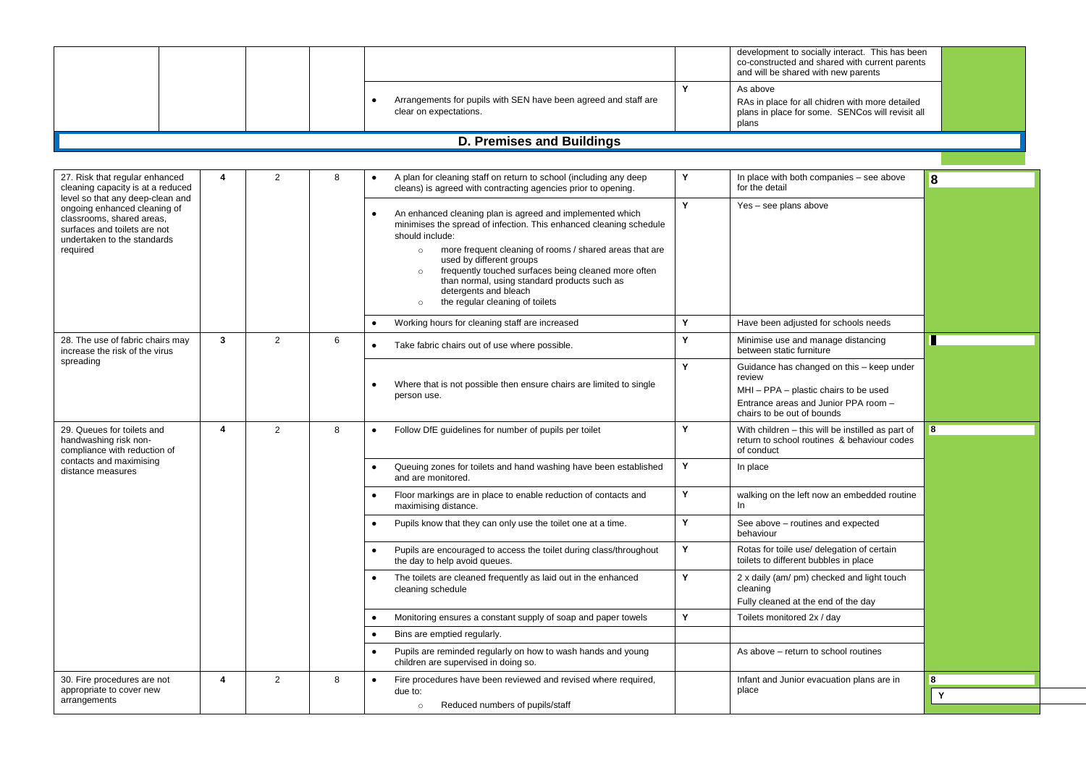|                                  |  |  |  |                                                                                           |  | development to socially interact. This has been<br>co-constructed and shared with current parents<br>and will be shared with new parents |  |  |  |
|----------------------------------|--|--|--|-------------------------------------------------------------------------------------------|--|------------------------------------------------------------------------------------------------------------------------------------------|--|--|--|
|                                  |  |  |  | Arrangements for pupils with SEN have been agreed and staff are<br>clear on expectations. |  | As above<br>RAs in place for all chidren with more detailed<br>plans in place for some. SENCos will revisit all<br>plans                 |  |  |  |
| <b>D. Premises and Buildings</b> |  |  |  |                                                                                           |  |                                                                                                                                          |  |  |  |

| 27. Risk that regular enhanced<br>cleaning capacity is at a reduced<br>level so that any deep-clean and<br>ongoing enhanced cleaning of<br>classrooms, shared areas,<br>surfaces and toilets are not<br>undertaken to the standards<br>reauired | 4 | $\overline{2}$ | 8 | A plan for cleaning staff on return to school (including any deep<br>cleans) is agreed with contracting agencies prior to opening.<br>An enhanced cleaning plan is agreed and implemented which<br>minimises the spread of infection. This enhanced cleaning schedule<br>should include:<br>more frequent cleaning of rooms / shared areas that are<br>$\circ$<br>used by different groups<br>frequently touched surfaces being cleaned more often<br>$\circ$<br>than normal, using standard products such as<br>detergents and bleach<br>the regular cleaning of toilets<br>$\circ$ | Y<br>Y<br>Y | In place with both companies - see above<br>for the detail<br>Yes - see plans above                                                                                | 8            |
|-------------------------------------------------------------------------------------------------------------------------------------------------------------------------------------------------------------------------------------------------|---|----------------|---|--------------------------------------------------------------------------------------------------------------------------------------------------------------------------------------------------------------------------------------------------------------------------------------------------------------------------------------------------------------------------------------------------------------------------------------------------------------------------------------------------------------------------------------------------------------------------------------|-------------|--------------------------------------------------------------------------------------------------------------------------------------------------------------------|--------------|
| 28. The use of fabric chairs may                                                                                                                                                                                                                | 3 | 2              | 6 | Working hours for cleaning staff are increased                                                                                                                                                                                                                                                                                                                                                                                                                                                                                                                                       | Y           | Have been adjusted for schools needs<br>Minimise use and manage distancing                                                                                         |              |
| increase the risk of the virus                                                                                                                                                                                                                  |   |                |   | Take fabric chairs out of use where possible.                                                                                                                                                                                                                                                                                                                                                                                                                                                                                                                                        |             | between static furniture                                                                                                                                           |              |
| spreading                                                                                                                                                                                                                                       |   |                |   | Where that is not possible then ensure chairs are limited to single<br>person use.                                                                                                                                                                                                                                                                                                                                                                                                                                                                                                   | Y           | Guidance has changed on this - keep under<br>review<br>MHI - PPA - plastic chairs to be used<br>Entrance areas and Junior PPA room -<br>chairs to be out of bounds |              |
| 29. Queues for toilets and<br>handwashing risk non-<br>compliance with reduction of                                                                                                                                                             | 4 | $\overline{2}$ | 8 | Follow DfE guidelines for number of pupils per toilet                                                                                                                                                                                                                                                                                                                                                                                                                                                                                                                                | Y           | With children - this will be instilled as part of<br>return to school routines & behaviour codes<br>of conduct                                                     | <b>8</b>     |
| contacts and maximising<br>distance measures                                                                                                                                                                                                    |   |                |   | Queuing zones for toilets and hand washing have been established<br>and are monitored.                                                                                                                                                                                                                                                                                                                                                                                                                                                                                               | Y           | In place                                                                                                                                                           |              |
|                                                                                                                                                                                                                                                 |   |                |   | Floor markings are in place to enable reduction of contacts and<br>maximising distance.                                                                                                                                                                                                                                                                                                                                                                                                                                                                                              | Y           | walking on the left now an embedded routine<br>In                                                                                                                  |              |
|                                                                                                                                                                                                                                                 |   |                |   | Pupils know that they can only use the toilet one at a time.                                                                                                                                                                                                                                                                                                                                                                                                                                                                                                                         | Y           | See above - routines and expected<br>behaviour                                                                                                                     |              |
|                                                                                                                                                                                                                                                 |   |                |   | Pupils are encouraged to access the toilet during class/throughout<br>the day to help avoid queues.                                                                                                                                                                                                                                                                                                                                                                                                                                                                                  | Y           | Rotas for toile use/ delegation of certain<br>toilets to different bubbles in place                                                                                |              |
|                                                                                                                                                                                                                                                 |   |                |   | The toilets are cleaned frequently as laid out in the enhanced<br>cleaning schedule                                                                                                                                                                                                                                                                                                                                                                                                                                                                                                  | Y           | 2 x daily (am/ pm) checked and light touch<br>cleaning<br>Fully cleaned at the end of the day                                                                      |              |
|                                                                                                                                                                                                                                                 |   |                |   | Monitoring ensures a constant supply of soap and paper towels<br>$\bullet$                                                                                                                                                                                                                                                                                                                                                                                                                                                                                                           | Y           | Toilets monitored 2x / day                                                                                                                                         |              |
|                                                                                                                                                                                                                                                 |   |                |   | Bins are emptied regularly.<br>$\bullet$                                                                                                                                                                                                                                                                                                                                                                                                                                                                                                                                             |             |                                                                                                                                                                    |              |
|                                                                                                                                                                                                                                                 |   |                |   | Pupils are reminded regularly on how to wash hands and young<br>children are supervised in doing so.                                                                                                                                                                                                                                                                                                                                                                                                                                                                                 |             | As above – return to school routines                                                                                                                               |              |
| 30. Fire procedures are not<br>appropriate to cover new                                                                                                                                                                                         | 4 | 2              | 8 | Fire procedures have been reviewed and revised where required,<br>$\bullet$                                                                                                                                                                                                                                                                                                                                                                                                                                                                                                          |             | Infant and Junior evacuation plans are in                                                                                                                          | 8            |
| arrangements                                                                                                                                                                                                                                    |   |                |   | due to:<br>Reduced numbers of pupils/staff<br>$\circ$                                                                                                                                                                                                                                                                                                                                                                                                                                                                                                                                |             | place                                                                                                                                                              | $\mathbf{Y}$ |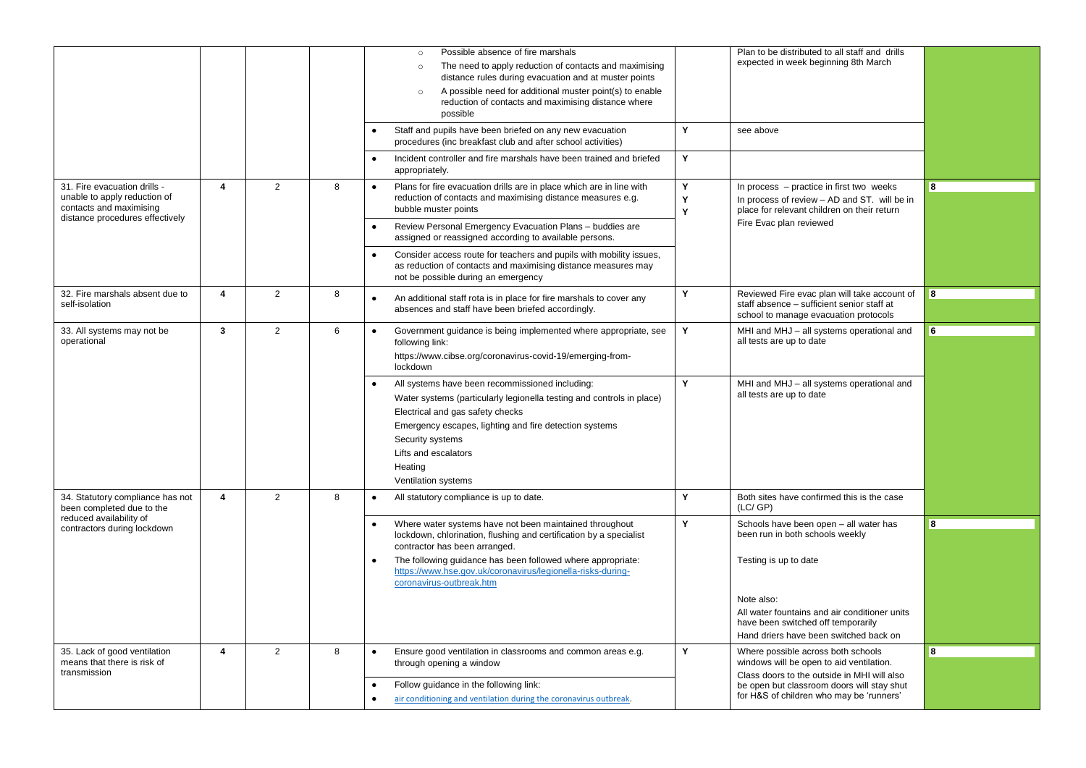|                                                                                                                            |                         |                |   | Possible absence of fire marshals<br>$\circ$<br>The need to apply reduction of contacts and maximising<br>$\circ$<br>distance rules during evacuation and at muster points<br>A possible need for additional muster point(s) to enable<br>$\circ$<br>reduction of contacts and maximising distance where<br>possible<br>Staff and pupils have been briefed on any new evacuation<br>procedures (inc breakfast club and after school activities)<br>Incident controller and fire marshals have been trained and briefed<br>$\bullet$<br>appropriately. | Y<br>Y      | Plan to be distributed to all staff and drills<br>expected in week beginning 8th March<br>see above                                                                                                                                               |   |
|----------------------------------------------------------------------------------------------------------------------------|-------------------------|----------------|---|-------------------------------------------------------------------------------------------------------------------------------------------------------------------------------------------------------------------------------------------------------------------------------------------------------------------------------------------------------------------------------------------------------------------------------------------------------------------------------------------------------------------------------------------------------|-------------|---------------------------------------------------------------------------------------------------------------------------------------------------------------------------------------------------------------------------------------------------|---|
| 31. Fire evacuation drills -<br>unable to apply reduction of<br>contacts and maximising<br>distance procedures effectively | 4                       | $\overline{2}$ | 8 | Plans for fire evacuation drills are in place which are in line with<br>$\bullet$<br>reduction of contacts and maximising distance measures e.g.<br>bubble muster points<br>Review Personal Emergency Evacuation Plans - buddies are<br>$\bullet$<br>assigned or reassigned according to available persons.<br>Consider access route for teachers and pupils with mobility issues,<br>$\bullet$<br>as reduction of contacts and maximising distance measures may<br>not be possible during an emergency                                               | Y<br>Y<br>Y | In process - practice in first two weeks<br>In process of review - AD and ST. will be in<br>place for relevant children on their return<br>Fire Evac plan reviewed                                                                                | 8 |
| 32. Fire marshals absent due to<br>self-isolation                                                                          | 4                       | $\overline{2}$ | 8 | An additional staff rota is in place for fire marshals to cover any<br>$\bullet$<br>absences and staff have been briefed accordingly.                                                                                                                                                                                                                                                                                                                                                                                                                 | Y           | Reviewed Fire evac plan will take account of<br>staff absence - sufficient senior staff at<br>school to manage evacuation protocols                                                                                                               | 8 |
| 33. All systems may not be<br>operational                                                                                  | 3                       | $\overline{2}$ | 6 | Government guidance is being implemented where appropriate, see<br>$\bullet$<br>following link:<br>https://www.cibse.org/coronavirus-covid-19/emerging-from-<br>lockdown                                                                                                                                                                                                                                                                                                                                                                              | Y           | MHI and MHJ - all systems operational and<br>all tests are up to date                                                                                                                                                                             | 6 |
|                                                                                                                            |                         |                |   | All systems have been recommissioned including:<br>Water systems (particularly legionella testing and controls in place)<br>Electrical and gas safety checks<br>Emergency escapes, lighting and fire detection systems<br>Security systems<br>Lifts and escalators<br>Heating<br>Ventilation systems                                                                                                                                                                                                                                                  | Y           | MHI and MHJ - all systems operational and<br>all tests are up to date                                                                                                                                                                             |   |
| 34. Statutory compliance has not<br>been completed due to the<br>reduced availability of                                   | $\overline{\mathbf{4}}$ | $\overline{2}$ | 8 | All statutory compliance is up to date.<br>$\bullet$                                                                                                                                                                                                                                                                                                                                                                                                                                                                                                  | Y           | Both sites have confirmed this is the case<br>(LC/GP)                                                                                                                                                                                             |   |
| contractors during lockdown                                                                                                |                         |                |   | Where water systems have not been maintained throughout<br>lockdown, chlorination, flushing and certification by a specialist<br>contractor has been arranged.<br>The following guidance has been followed where appropriate:<br>$\bullet$<br>https://www.hse.gov.uk/coronavirus/legionella-risks-during-<br>coronavirus-outbreak.htm                                                                                                                                                                                                                 | Y           | Schools have been open - all water has<br>been run in both schools weekly<br>Testing is up to date<br>Note also:<br>All water fountains and air conditioner units<br>have been switched off temporarily<br>Hand driers have been switched back on | 8 |
| 35. Lack of good ventilation<br>means that there is risk of                                                                | 4                       | $\overline{2}$ | 8 | Ensure good ventilation in classrooms and common areas e.g.<br>$\bullet$<br>through opening a window                                                                                                                                                                                                                                                                                                                                                                                                                                                  | Υ           | Where possible across both schools<br>windows will be open to aid ventilation.                                                                                                                                                                    | 8 |
| transmission                                                                                                               |                         |                |   | Follow guidance in the following link:<br>air conditioning and ventilation during the coronavirus outbreak.                                                                                                                                                                                                                                                                                                                                                                                                                                           |             | Class doors to the outside in MHI will also<br>be open but classroom doors will stay shut<br>for H&S of children who may be 'runners'                                                                                                             |   |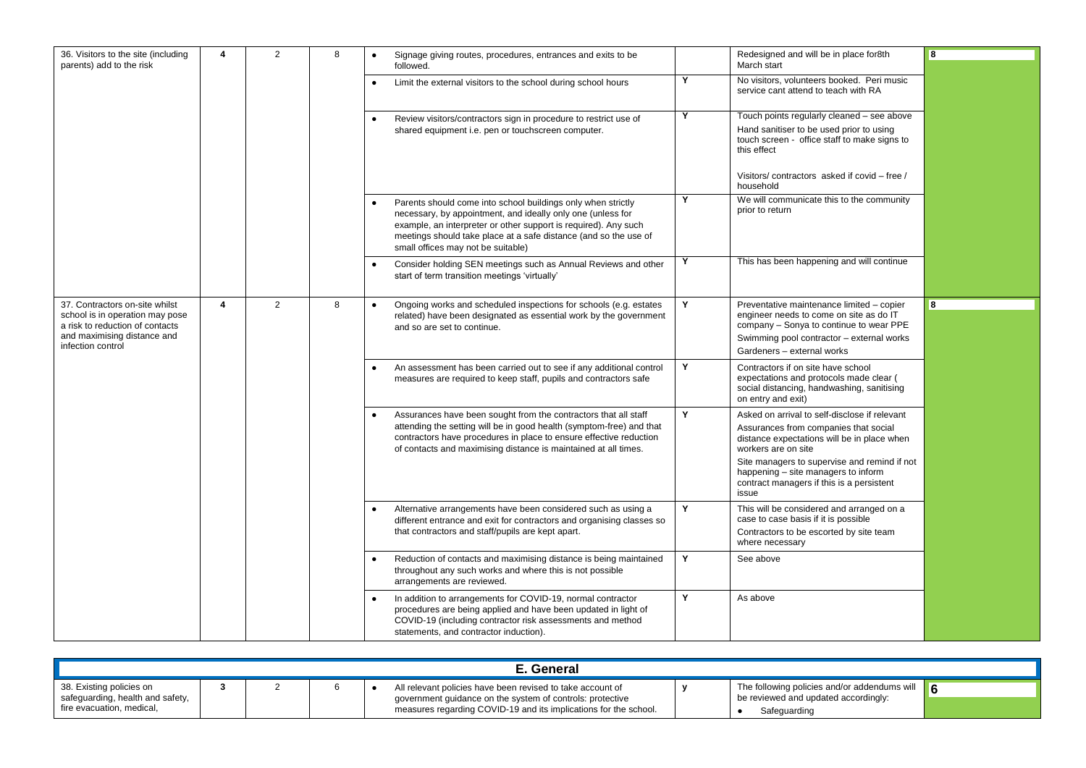| 36. Visitors to the site (including<br>parents) add to the risk                                                                                          | 4 | 2              | 8 | Signage giving routes, procedures, entrances and exits to be<br>$\bullet$<br>followed.<br>Limit the external visitors to the school during school hours<br>$\bullet$                                                                                                                                                  | Y | Redesigned and will be in place for8th<br>March start<br>No visitors, volunteers booked. Peri music<br>service cant attend to teach with RA                                                                                                                                                               | 8                       |
|----------------------------------------------------------------------------------------------------------------------------------------------------------|---|----------------|---|-----------------------------------------------------------------------------------------------------------------------------------------------------------------------------------------------------------------------------------------------------------------------------------------------------------------------|---|-----------------------------------------------------------------------------------------------------------------------------------------------------------------------------------------------------------------------------------------------------------------------------------------------------------|-------------------------|
|                                                                                                                                                          |   |                |   | Review visitors/contractors sign in procedure to restrict use of<br>$\bullet$<br>shared equipment i.e. pen or touchscreen computer.                                                                                                                                                                                   | Y | Touch points regularly cleaned - see above<br>Hand sanitiser to be used prior to using<br>touch screen - office staff to make signs to<br>this effect<br>Visitors/contractors asked if covid - free /                                                                                                     |                         |
|                                                                                                                                                          |   |                |   | Parents should come into school buildings only when strictly<br>$\bullet$<br>necessary, by appointment, and ideally only one (unless for<br>example, an interpreter or other support is required). Any such<br>meetings should take place at a safe distance (and so the use of<br>small offices may not be suitable) | Y | household<br>We will communicate this to the community<br>prior to return                                                                                                                                                                                                                                 |                         |
|                                                                                                                                                          |   |                |   | Consider holding SEN meetings such as Annual Reviews and other<br>start of term transition meetings 'virtually'                                                                                                                                                                                                       | Υ | This has been happening and will continue                                                                                                                                                                                                                                                                 |                         |
| 37. Contractors on-site whilst<br>school is in operation may pose<br>a risk to reduction of contacts<br>and maximising distance and<br>infection control | 4 | $\overline{2}$ | 8 | Ongoing works and scheduled inspections for schools (e.g. estates<br>$\bullet$<br>related) have been designated as essential work by the government<br>and so are set to continue.                                                                                                                                    | Y | Preventative maintenance limited - copier<br>engineer needs to come on site as do IT<br>company - Sonya to continue to wear PPE<br>Swimming pool contractor - external works<br>Gardeners - external works                                                                                                | $\overline{\mathbf{8}}$ |
|                                                                                                                                                          |   |                |   | An assessment has been carried out to see if any additional control<br>measures are required to keep staff, pupils and contractors safe                                                                                                                                                                               | Y | Contractors if on site have school<br>expectations and protocols made clear (<br>social distancing, handwashing, sanitising<br>on entry and exit)                                                                                                                                                         |                         |
|                                                                                                                                                          |   |                |   | Assurances have been sought from the contractors that all staff<br>attending the setting will be in good health (symptom-free) and that<br>contractors have procedures in place to ensure effective reduction<br>of contacts and maximising distance is maintained at all times.                                      | Y | Asked on arrival to self-disclose if relevant<br>Assurances from companies that social<br>distance expectations will be in place when<br>workers are on site<br>Site managers to supervise and remind if not<br>happening – site managers to inform<br>contract managers if this is a persistent<br>issue |                         |
|                                                                                                                                                          |   |                |   | Alternative arrangements have been considered such as using a<br>different entrance and exit for contractors and organising classes so<br>that contractors and staff/pupils are kept apart.                                                                                                                           | Y | This will be considered and arranged on a<br>case to case basis if it is possible<br>Contractors to be escorted by site team<br>where necessary                                                                                                                                                           |                         |
|                                                                                                                                                          |   |                |   | Reduction of contacts and maximising distance is being maintained<br>throughout any such works and where this is not possible<br>arrangements are reviewed.                                                                                                                                                           | Y | See above                                                                                                                                                                                                                                                                                                 |                         |
|                                                                                                                                                          |   |                |   | In addition to arrangements for COVID-19, normal contractor<br>procedures are being applied and have been updated in light of<br>COVID-19 (including contractor risk assessments and method<br>statements, and contractor induction).                                                                                 | Y | As above                                                                                                                                                                                                                                                                                                  |                         |

| E. General                                                                                |  |  |  |                                                                                                                                                                                             |  |                                                                                                                                                  |  |  |  |  |  |
|-------------------------------------------------------------------------------------------|--|--|--|---------------------------------------------------------------------------------------------------------------------------------------------------------------------------------------------|--|--------------------------------------------------------------------------------------------------------------------------------------------------|--|--|--|--|--|
| 38. Existing policies on<br>safeguarding, health and safety,<br>fire evacuation, medical, |  |  |  | All relevant policies have been revised to take account of<br>government guidance on the system of controls: protective<br>measures regarding COVID-19 and its implications for the school. |  | The following policies and/or addendums will $\begin{array}{ c c }\n\hline\n\end{array}$<br>be reviewed and updated accordingly:<br>Safeguarding |  |  |  |  |  |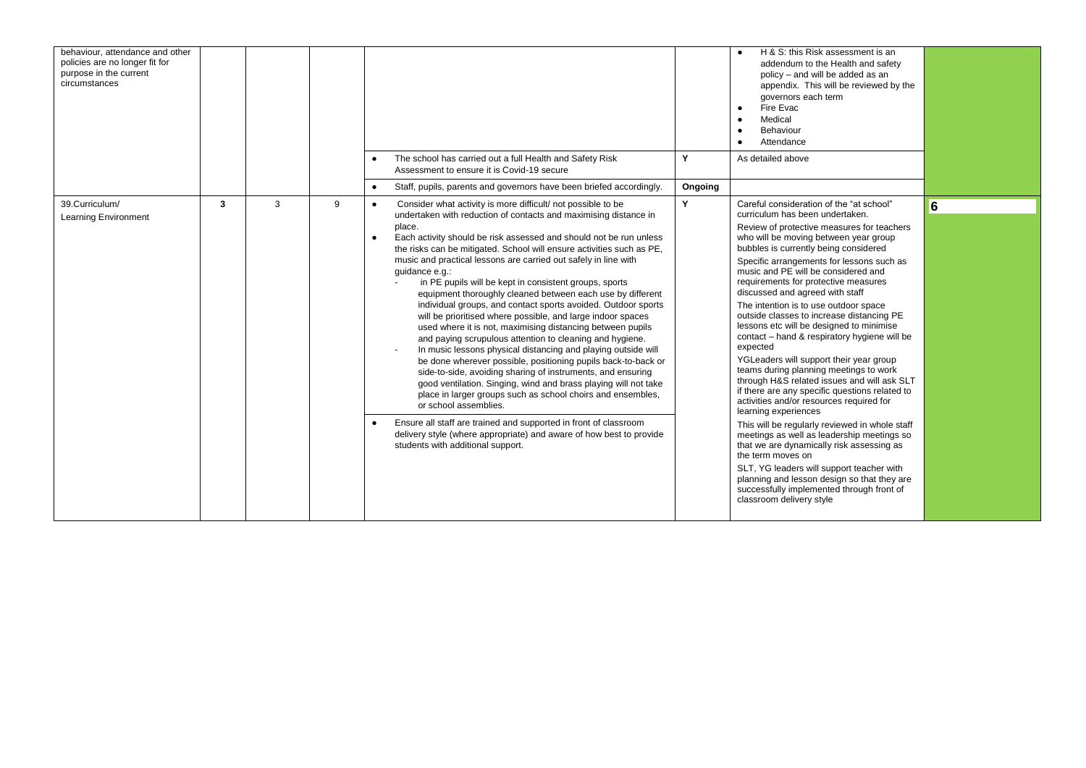| behaviour, attendance and other<br>policies are no longer fit for<br>purpose in the current<br>circumstances |   |   |   |                                                                                                                                                                                                                                                                                                                                                                                                                                                                                                                                                                                                                                                                                                                                                                                                                                                                                                                                                                                                                                                                                                                                                                                                                                                                                                                                                     |         | H & S: this Risk assessment is an<br>addendum to the Health and safety<br>policy - and will be added as an<br>appendix. This will be reviewed by the<br>governors each term<br>Fire Evac<br>Medical<br>Behaviour<br>Attendance                                                                                                                                                                                                                                                                                                                                                                                                                                                                                                                                                                                                                                                                                                                                                                                                                                                                                                                                            |                |
|--------------------------------------------------------------------------------------------------------------|---|---|---|-----------------------------------------------------------------------------------------------------------------------------------------------------------------------------------------------------------------------------------------------------------------------------------------------------------------------------------------------------------------------------------------------------------------------------------------------------------------------------------------------------------------------------------------------------------------------------------------------------------------------------------------------------------------------------------------------------------------------------------------------------------------------------------------------------------------------------------------------------------------------------------------------------------------------------------------------------------------------------------------------------------------------------------------------------------------------------------------------------------------------------------------------------------------------------------------------------------------------------------------------------------------------------------------------------------------------------------------------------|---------|---------------------------------------------------------------------------------------------------------------------------------------------------------------------------------------------------------------------------------------------------------------------------------------------------------------------------------------------------------------------------------------------------------------------------------------------------------------------------------------------------------------------------------------------------------------------------------------------------------------------------------------------------------------------------------------------------------------------------------------------------------------------------------------------------------------------------------------------------------------------------------------------------------------------------------------------------------------------------------------------------------------------------------------------------------------------------------------------------------------------------------------------------------------------------|----------------|
|                                                                                                              |   |   |   | The school has carried out a full Health and Safety Risk<br>$\bullet$<br>Assessment to ensure it is Covid-19 secure                                                                                                                                                                                                                                                                                                                                                                                                                                                                                                                                                                                                                                                                                                                                                                                                                                                                                                                                                                                                                                                                                                                                                                                                                                 | Y       | As detailed above                                                                                                                                                                                                                                                                                                                                                                                                                                                                                                                                                                                                                                                                                                                                                                                                                                                                                                                                                                                                                                                                                                                                                         |                |
|                                                                                                              |   |   |   | Staff, pupils, parents and governors have been briefed accordingly.<br>$\bullet$                                                                                                                                                                                                                                                                                                                                                                                                                                                                                                                                                                                                                                                                                                                                                                                                                                                                                                                                                                                                                                                                                                                                                                                                                                                                    | Ongoing |                                                                                                                                                                                                                                                                                                                                                                                                                                                                                                                                                                                                                                                                                                                                                                                                                                                                                                                                                                                                                                                                                                                                                                           |                |
| 39.Curriculum/<br>Learning Environment                                                                       | 3 | 3 | 9 | Consider what activity is more difficult/ not possible to be<br>$\bullet$<br>undertaken with reduction of contacts and maximising distance in<br>place.<br>Each activity should be risk assessed and should not be run unless<br>$\bullet$<br>the risks can be mitigated. School will ensure activities such as PE,<br>music and practical lessons are carried out safely in line with<br>quidance e.g.:<br>in PE pupils will be kept in consistent groups, sports<br>equipment thoroughly cleaned between each use by different<br>individual groups, and contact sports avoided. Outdoor sports<br>will be prioritised where possible, and large indoor spaces<br>used where it is not, maximising distancing between pupils<br>and paying scrupulous attention to cleaning and hygiene.<br>In music lessons physical distancing and playing outside will<br>be done wherever possible, positioning pupils back-to-back or<br>side-to-side, avoiding sharing of instruments, and ensuring<br>good ventilation. Singing, wind and brass playing will not take<br>place in larger groups such as school choirs and ensembles,<br>or school assemblies.<br>Ensure all staff are trained and supported in front of classroom<br>$\bullet$<br>delivery style (where appropriate) and aware of how best to provide<br>students with additional support. | Y       | Careful consideration of the "at school"<br>curriculum has been undertaken.<br>Review of protective measures for teachers<br>who will be moving between year group<br>bubbles is currently being considered<br>Specific arrangements for lessons such as<br>music and PE will be considered and<br>requirements for protective measures<br>discussed and agreed with staff<br>The intention is to use outdoor space<br>outside classes to increase distancing PE<br>lessons etc will be designed to minimise<br>contact - hand & respiratory hygiene will be<br>expected<br>YGLeaders will support their year group<br>teams during planning meetings to work<br>through H&S related issues and will ask SLT<br>if there are any specific questions related to<br>activities and/or resources required for<br>learning experiences<br>This will be regularly reviewed in whole staff<br>meetings as well as leadership meetings so<br>that we are dynamically risk assessing as<br>the term moves on<br>SLT, YG leaders will support teacher with<br>planning and lesson design so that they are<br>successfully implemented through front of<br>classroom delivery style | $6\phantom{1}$ |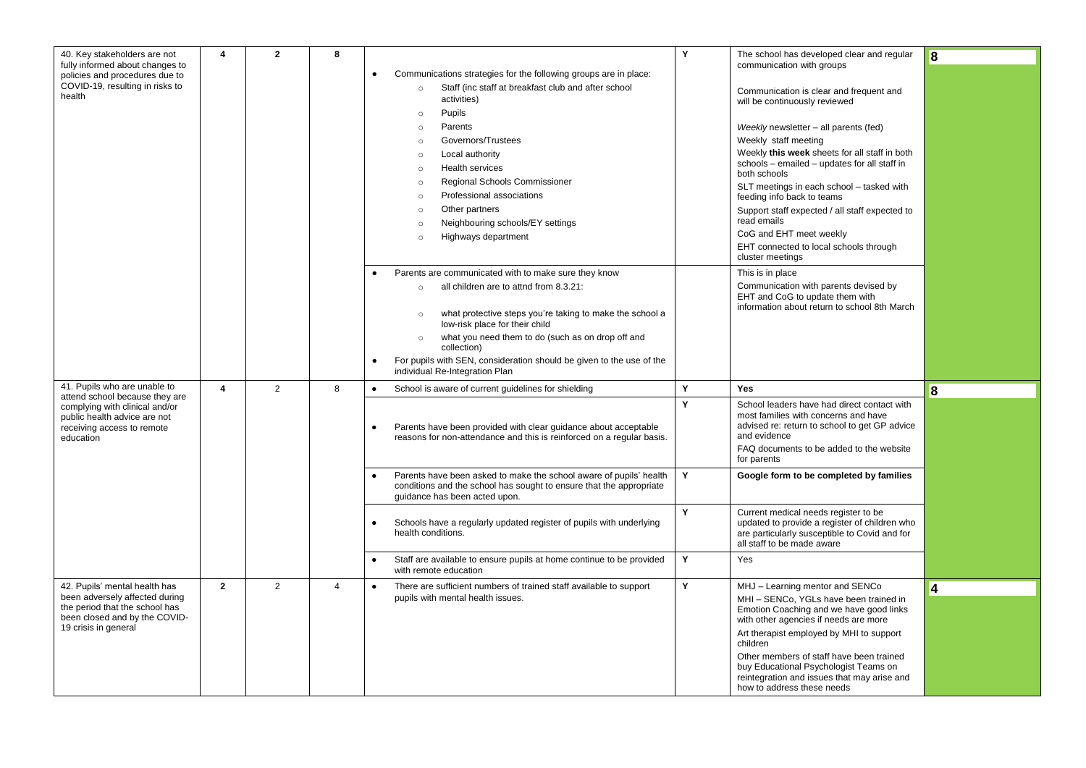| 40. Key stakeholders are not<br>fully informed about changes to<br>policies and procedures due to<br>COVID-19, resulting in risks to<br>health                              | $\overline{4}$ | $\overline{2}$ | 8 | Communications strategies for the following groups are in place:<br>$\bullet$<br>Staff (inc staff at breakfast club and after school<br>$\circ$<br>activities)<br>Pupils<br>$\circ$<br>Parents<br>$\circ$<br>Governors/Trustees<br>$\circ$<br>Local authority<br>$\circ$<br><b>Health services</b><br>$\circ$<br>Regional Schools Commissioner<br>$\circ$<br>Professional associations<br>$\circ$<br>Other partners<br>$\circ$<br>Neighbouring schools/EY settings<br>$\circ$<br>Highways department<br>$\circ$<br>Parents are communicated with to make sure they know<br>all children are to attnd from 8.3.21:<br>$\circ$<br>what protective steps you're taking to make the school a<br>$\circ$ | Y      | The school has developed clear and regular<br>communication with groups<br>Communication is clear and frequent and<br>will be continuously reviewed<br>Weekly newsletter - all parents (fed)<br>Weekly staff meeting<br>Weekly this week sheets for all staff in both<br>schools - emailed - updates for all staff in<br>both schools<br>SLT meetings in each school - tasked with<br>feeding info back to teams<br>Support staff expected / all staff expected to<br>read emails<br>CoG and EHT meet weekly<br>EHT connected to local schools through<br>cluster meetings<br>This is in place<br>Communication with parents devised by<br>EHT and CoG to update them with<br>information about return to school 8th March | $\boldsymbol{8}$ |
|-----------------------------------------------------------------------------------------------------------------------------------------------------------------------------|----------------|----------------|---|-----------------------------------------------------------------------------------------------------------------------------------------------------------------------------------------------------------------------------------------------------------------------------------------------------------------------------------------------------------------------------------------------------------------------------------------------------------------------------------------------------------------------------------------------------------------------------------------------------------------------------------------------------------------------------------------------------|--------|----------------------------------------------------------------------------------------------------------------------------------------------------------------------------------------------------------------------------------------------------------------------------------------------------------------------------------------------------------------------------------------------------------------------------------------------------------------------------------------------------------------------------------------------------------------------------------------------------------------------------------------------------------------------------------------------------------------------------|------------------|
|                                                                                                                                                                             |                |                |   | low-risk place for their child<br>what you need them to do (such as on drop off and<br>$\circ$<br>collection)<br>For pupils with SEN, consideration should be given to the use of the<br>individual Re-Integration Plan                                                                                                                                                                                                                                                                                                                                                                                                                                                                             |        |                                                                                                                                                                                                                                                                                                                                                                                                                                                                                                                                                                                                                                                                                                                            |                  |
| 41. Pupils who are unable to<br>attend school because they are<br>complying with clinical and/or<br>public health advice are not<br>receiving access to remote<br>education | $\overline{4}$ | $\overline{2}$ | 8 | School is aware of current guidelines for shielding<br>$\bullet$<br>Parents have been provided with clear guidance about acceptable<br>reasons for non-attendance and this is reinforced on a regular basis.                                                                                                                                                                                                                                                                                                                                                                                                                                                                                        | Y<br>Y | Yes<br>School leaders have had direct contact with<br>most families with concerns and have<br>advised re: return to school to get GP advice<br>and evidence<br>FAQ documents to be added to the website<br>for parents                                                                                                                                                                                                                                                                                                                                                                                                                                                                                                     | 8                |
|                                                                                                                                                                             |                |                |   | Parents have been asked to make the school aware of pupils' health<br>$\bullet$<br>conditions and the school has sought to ensure that the appropriate<br>guidance has been acted upon.                                                                                                                                                                                                                                                                                                                                                                                                                                                                                                             | Y      | Google form to be completed by families                                                                                                                                                                                                                                                                                                                                                                                                                                                                                                                                                                                                                                                                                    |                  |
|                                                                                                                                                                             |                |                |   | Schools have a regularly updated register of pupils with underlying                                                                                                                                                                                                                                                                                                                                                                                                                                                                                                                                                                                                                                 | Y      | Current medical needs register to be<br>updated to provide a register of children who                                                                                                                                                                                                                                                                                                                                                                                                                                                                                                                                                                                                                                      |                  |
|                                                                                                                                                                             |                |                |   | health conditions.                                                                                                                                                                                                                                                                                                                                                                                                                                                                                                                                                                                                                                                                                  |        | are particularly susceptible to Covid and for<br>all staff to be made aware                                                                                                                                                                                                                                                                                                                                                                                                                                                                                                                                                                                                                                                |                  |
|                                                                                                                                                                             | $\overline{2}$ | $\overline{2}$ |   | Staff are available to ensure pupils at home continue to be provided<br>with remote education                                                                                                                                                                                                                                                                                                                                                                                                                                                                                                                                                                                                       | Y<br>Y | Yes                                                                                                                                                                                                                                                                                                                                                                                                                                                                                                                                                                                                                                                                                                                        |                  |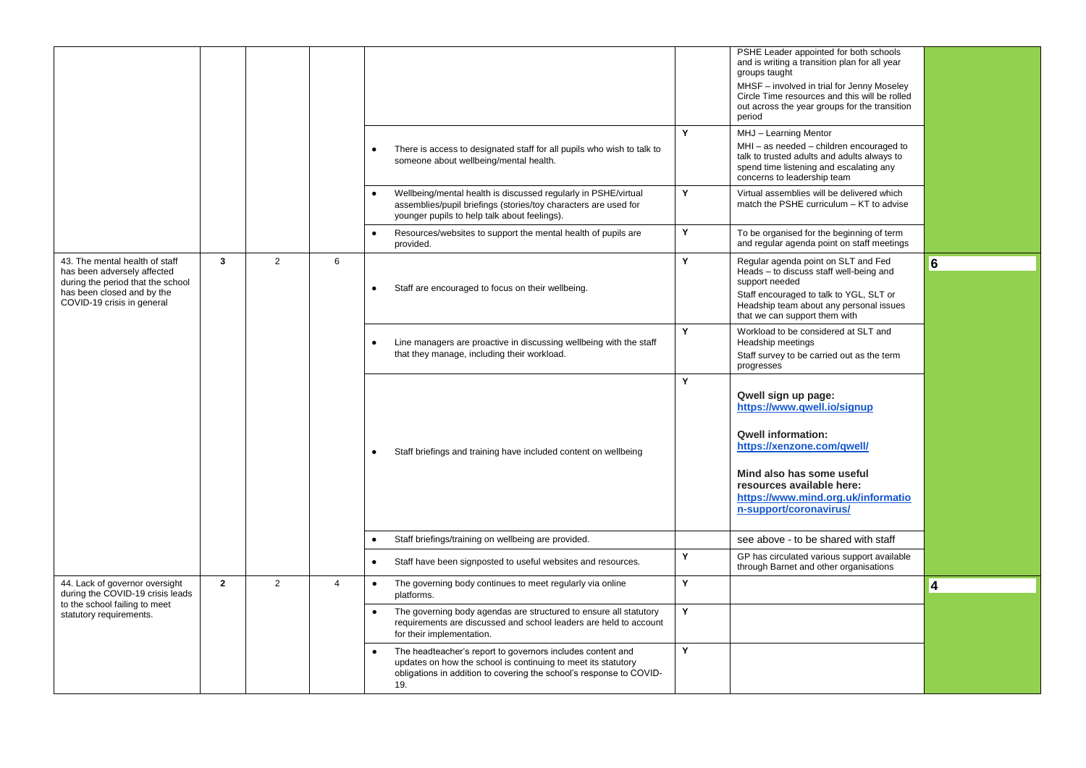|                                                                                                                                                                |                         |                |                |                                                                                                                                                                                                           | PSHE Leader appointed for both schools<br>and is writing a transition plan for all year<br>groups taught<br>MHSF - involved in trial for Jenny Moseley<br>Circle Time resources and this will be rolled<br>out across the year groups for the transition<br>period |  |
|----------------------------------------------------------------------------------------------------------------------------------------------------------------|-------------------------|----------------|----------------|-----------------------------------------------------------------------------------------------------------------------------------------------------------------------------------------------------------|--------------------------------------------------------------------------------------------------------------------------------------------------------------------------------------------------------------------------------------------------------------------|--|
|                                                                                                                                                                |                         |                |                | There is access to designated staff for all pupils who wish to talk to<br>someone about wellbeing/mental health.                                                                                          | Y<br>MHJ - Learning Mentor<br>MHI - as needed - children encouraged to<br>talk to trusted adults and adults always to<br>spend time listening and escalating any<br>concerns to leadership team                                                                    |  |
|                                                                                                                                                                |                         |                |                | Wellbeing/mental health is discussed regularly in PSHE/virtual<br>$\bullet$<br>assemblies/pupil briefings (stories/toy characters are used for<br>younger pupils to help talk about feelings).            | Y<br>Virtual assemblies will be delivered which<br>match the PSHE curriculum - KT to advise                                                                                                                                                                        |  |
|                                                                                                                                                                |                         |                |                | Resources/websites to support the mental health of pupils are<br>$\bullet$<br>provided.                                                                                                                   | Y<br>To be organised for the beginning of term<br>and regular agenda point on staff meetings                                                                                                                                                                       |  |
| 43. The mental health of staff<br>has been adversely affected<br>during the period that the school<br>has been closed and by the<br>COVID-19 crisis in general | $\overline{\mathbf{3}}$ | $\overline{2}$ | 6              | Staff are encouraged to focus on their wellbeing.                                                                                                                                                         | Y<br>Regular agenda point on SLT and Fed<br>6<br>Heads - to discuss staff well-being and<br>support needed<br>Staff encouraged to talk to YGL, SLT or<br>Headship team about any personal issues<br>that we can support them with                                  |  |
|                                                                                                                                                                |                         |                |                | Line managers are proactive in discussing wellbeing with the staff<br>$\bullet$<br>that they manage, including their workload.                                                                            | Y<br>Workload to be considered at SLT and<br>Headship meetings<br>Staff survey to be carried out as the term<br>progresses                                                                                                                                         |  |
|                                                                                                                                                                |                         |                |                | Staff briefings and training have included content on wellbeing                                                                                                                                           | Y<br>Qwell sign up page:<br>https://www.qwell.io/signup<br><b>Qwell information:</b><br>https://xenzone.com/qwell/<br>Mind also has some useful<br>resources available here:<br>https://www.mind.org.uk/informatio<br>n-support/coronavirus/                       |  |
|                                                                                                                                                                |                         |                |                | Staff briefings/training on wellbeing are provided.                                                                                                                                                       | see above - to be shared with staff                                                                                                                                                                                                                                |  |
|                                                                                                                                                                |                         |                |                | Staff have been signposted to useful websites and resources.<br>$\bullet$                                                                                                                                 | Y<br>GP has circulated various support available<br>through Barnet and other organisations                                                                                                                                                                         |  |
| 44. Lack of governor oversight<br>during the COVID-19 crisis leads                                                                                             | $\overline{2}$          | $\overline{2}$ | $\overline{4}$ | The governing body continues to meet regularly via online<br>$\bullet$<br>platforms.                                                                                                                      | Y<br>$\overline{\mathbf{4}}$                                                                                                                                                                                                                                       |  |
| to the school failing to meet<br>statutory requirements.                                                                                                       |                         |                |                | The governing body agendas are structured to ensure all statutory<br>requirements are discussed and school leaders are held to account<br>for their implementation.                                       | Y                                                                                                                                                                                                                                                                  |  |
|                                                                                                                                                                |                         |                |                | The headteacher's report to governors includes content and<br>updates on how the school is continuing to meet its statutory<br>obligations in addition to covering the school's response to COVID-<br>19. | Y                                                                                                                                                                                                                                                                  |  |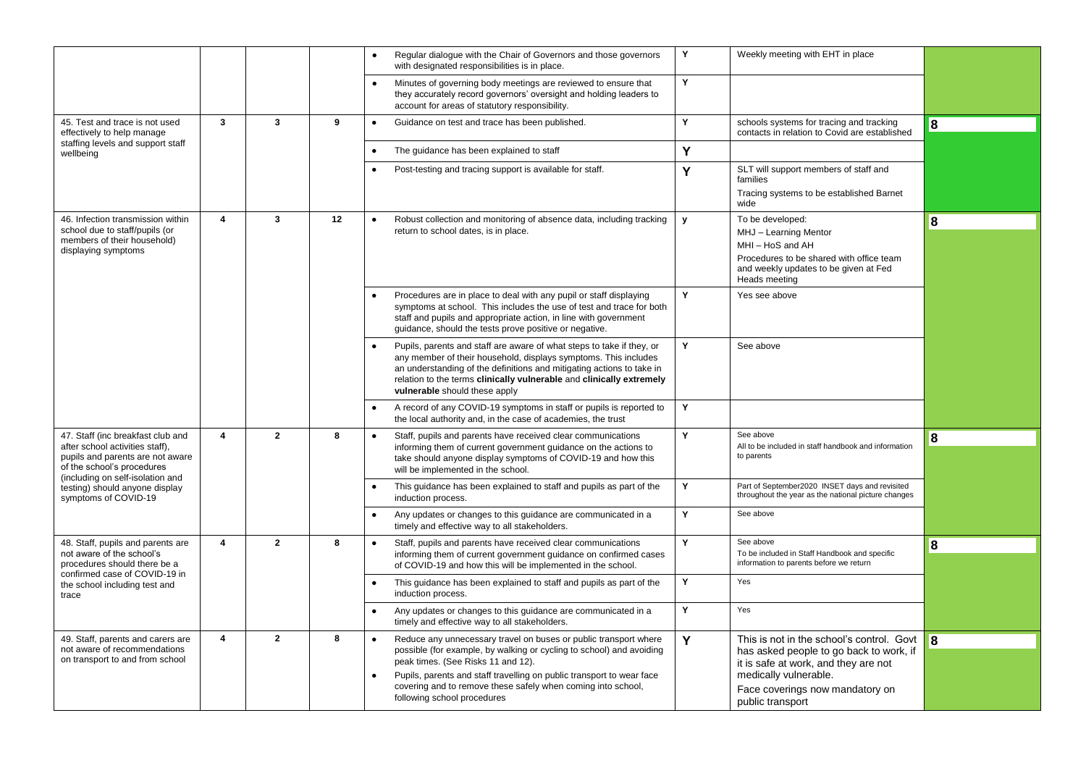|                                                                                                                                                                            |                         |                         |    | Regular dialogue with the Chair of Governors and those governors<br>$\bullet$<br>with designated responsibilities is in place.                                                                                                                                                                                                                                                   | Y | Weekly meeting with EHT in place                                                                                                                                                                             |                         |
|----------------------------------------------------------------------------------------------------------------------------------------------------------------------------|-------------------------|-------------------------|----|----------------------------------------------------------------------------------------------------------------------------------------------------------------------------------------------------------------------------------------------------------------------------------------------------------------------------------------------------------------------------------|---|--------------------------------------------------------------------------------------------------------------------------------------------------------------------------------------------------------------|-------------------------|
|                                                                                                                                                                            |                         |                         |    | Minutes of governing body meetings are reviewed to ensure that<br>$\bullet$<br>they accurately record governors' oversight and holding leaders to<br>account for areas of statutory responsibility.                                                                                                                                                                              | Y |                                                                                                                                                                                                              |                         |
| 45. Test and trace is not used<br>effectively to help manage                                                                                                               | $\mathbf{3}$            | $\mathbf{R}$            | 9  | Guidance on test and trace has been published.<br>$\bullet$                                                                                                                                                                                                                                                                                                                      | Y | schools systems for tracing and tracking<br>contacts in relation to Covid are established                                                                                                                    | 8                       |
| staffing levels and support staff<br>wellbeing                                                                                                                             |                         |                         |    | The guidance has been explained to staff<br>$\bullet$                                                                                                                                                                                                                                                                                                                            | Y |                                                                                                                                                                                                              |                         |
|                                                                                                                                                                            |                         |                         |    | Post-testing and tracing support is available for staff.<br>$\bullet$                                                                                                                                                                                                                                                                                                            | Y | SLT will support members of staff and<br>families<br>Tracing systems to be established Barnet<br>wide                                                                                                        |                         |
| 46. Infection transmission within<br>school due to staff/pupils (or<br>members of their household)<br>displaying symptoms                                                  | 4                       | $\overline{\mathbf{3}}$ | 12 | Robust collection and monitoring of absence data, including tracking<br>$\bullet$<br>return to school dates, is in place.                                                                                                                                                                                                                                                        | У | To be developed:<br>MHJ - Learning Mentor<br>MHI-HoS and AH<br>Procedures to be shared with office team<br>and weekly updates to be given at Fed<br>Heads meeting                                            | 8                       |
|                                                                                                                                                                            |                         |                         |    | Procedures are in place to deal with any pupil or staff displaying<br>symptoms at school. This includes the use of test and trace for both<br>staff and pupils and appropriate action, in line with government<br>guidance, should the tests prove positive or negative.                                                                                                         | Y | Yes see above                                                                                                                                                                                                |                         |
|                                                                                                                                                                            |                         |                         |    | Pupils, parents and staff are aware of what steps to take if they, or<br>$\bullet$<br>any member of their household, displays symptoms. This includes<br>an understanding of the definitions and mitigating actions to take in<br>relation to the terms clinically vulnerable and clinically extremely<br>vulnerable should these apply                                          | Y | See above                                                                                                                                                                                                    |                         |
|                                                                                                                                                                            |                         |                         |    | A record of any COVID-19 symptoms in staff or pupils is reported to<br>the local authority and, in the case of academies, the trust                                                                                                                                                                                                                                              | Y |                                                                                                                                                                                                              |                         |
| 47. Staff (inc breakfast club and<br>after school activities staff),<br>pupils and parents are not aware<br>of the school's procedures<br>(including on self-isolation and | $\overline{4}$          | $\mathbf{2}$            | 8  | Staff, pupils and parents have received clear communications<br>$\bullet$<br>informing them of current government guidance on the actions to<br>take should anyone display symptoms of COVID-19 and how this<br>will be implemented in the school.                                                                                                                               | Y | See above<br>All to be included in staff handbook and information<br>to parents                                                                                                                              | 8                       |
| testing) should anyone display<br>symptoms of COVID-19                                                                                                                     |                         |                         |    | This guidance has been explained to staff and pupils as part of the<br>$\bullet$<br>induction process.                                                                                                                                                                                                                                                                           | Y | Part of September2020 INSET days and revisited<br>throughout the year as the national picture changes                                                                                                        |                         |
|                                                                                                                                                                            |                         |                         |    | Any updates or changes to this guidance are communicated in a<br>$\bullet$<br>timely and effective way to all stakeholders.                                                                                                                                                                                                                                                      | Y | See above                                                                                                                                                                                                    |                         |
| 48. Staff, pupils and parents are<br>not aware of the school's<br>procedures should there be a                                                                             | $\overline{4}$          | $\overline{2}$          | 8  | Staff, pupils and parents have received clear communications<br>$\bullet$<br>informing them of current government guidance on confirmed cases<br>of COVID-19 and how this will be implemented in the school.                                                                                                                                                                     | Y | See above<br>To be included in Staff Handbook and specific<br>information to parents before we return                                                                                                        | 8                       |
| confirmed case of COVID-19 in<br>the school including test and<br>trace                                                                                                    |                         |                         |    | This guidance has been explained to staff and pupils as part of the<br>induction process.                                                                                                                                                                                                                                                                                        | Y | Yes                                                                                                                                                                                                          |                         |
|                                                                                                                                                                            |                         |                         |    | Any updates or changes to this guidance are communicated in a<br>timely and effective way to all stakeholders.                                                                                                                                                                                                                                                                   | Y | Yes                                                                                                                                                                                                          |                         |
| 49. Staff, parents and carers are<br>not aware of recommendations<br>on transport to and from school                                                                       | $\overline{\mathbf{4}}$ | $\overline{2}$          | 8  | Reduce any unnecessary travel on buses or public transport where<br>$\bullet$<br>possible (for example, by walking or cycling to school) and avoiding<br>peak times. (See Risks 11 and 12).<br>Pupils, parents and staff travelling on public transport to wear face<br>$\bullet$<br>covering and to remove these safely when coming into school,<br>following school procedures | Y | This is not in the school's control. Govt<br>has asked people to go back to work, if<br>it is safe at work, and they are not<br>medically vulnerable.<br>Face coverings now mandatory on<br>public transport | $\overline{\mathbf{8}}$ |